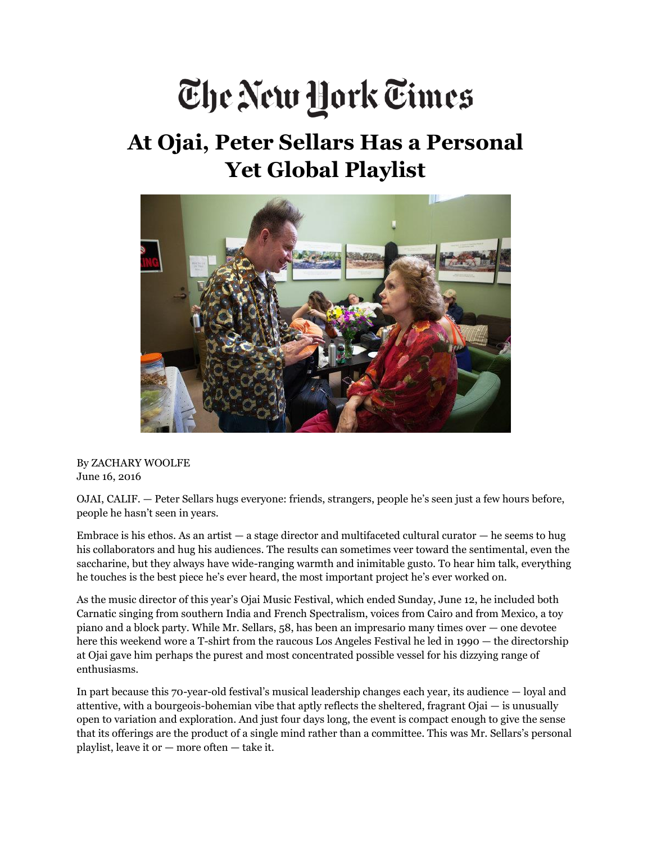# The New York Times

#### **At Ojai, Peter Sellars Has a Personal Yet Global Playlist**



By ZACHARY WOOLFE June 16, 2016

OJAI, CALIF. — Peter Sellars hugs everyone: friends, strangers, people he's seen just a few hours before, people he hasn't seen in years.

Embrace is his ethos. As an artist  $-$  a stage director and multifaceted cultural curator  $-$  he seems to hug his collaborators and hug his audiences. The results can sometimes veer toward the sentimental, even the saccharine, but they always have wide-ranging warmth and inimitable gusto. To hear him talk, everything he touches is the best piece he's ever heard, the most important project he's ever worked on.

As the music director of this year's Ojai Music Festival, which ended Sunday, June 12, he included both Carnatic singing from southern India and French Spectralism, voices from Cairo and from Mexico, a toy piano and a block party. While Mr. Sellars, 58, has been an impresario many times over — one devotee here this weekend wore a T-shirt from the raucous Los Angeles Festival he led in 1990 — the directorship at Ojai gave him perhaps the purest and most concentrated possible vessel for his dizzying range of enthusiasms.

In part because this 70-year-old festival's musical leadership changes each year, its audience — loyal and attentive, with a bourgeois-bohemian vibe that aptly reflects the sheltered, fragrant Ojai — is unusually open to variation and exploration. And just four days long, the event is compact enough to give the sense that its offerings are the product of a single mind rather than a committee. This was Mr. Sellars's personal playlist, leave it or — more often — take it.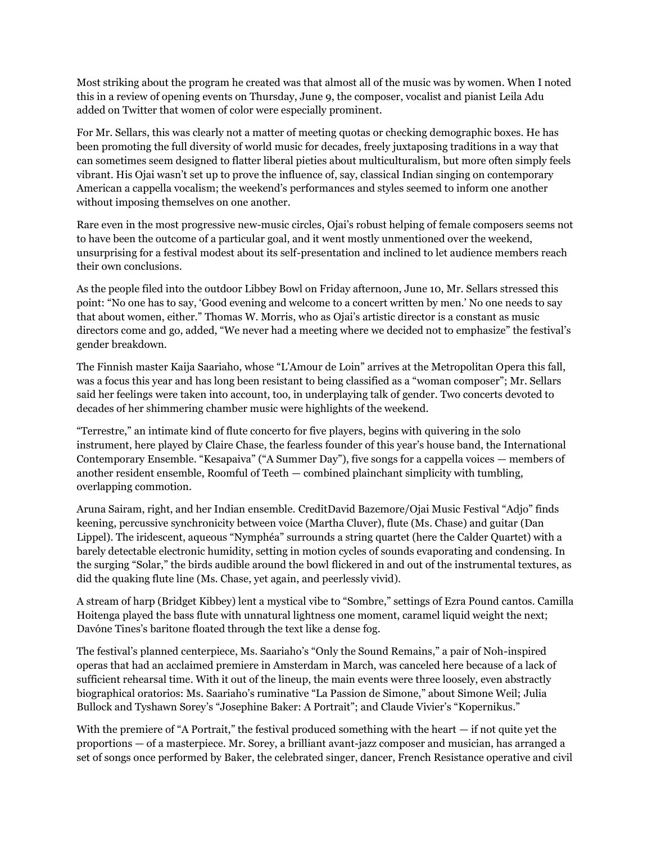Most striking about the program he created was that almost all of the music was by women. When I noted this in a review of opening events on Thursday, June 9, the composer, vocalist and pianist Leila Adu added on Twitter that women of color were especially prominent.

For Mr. Sellars, this was clearly not a matter of meeting quotas or checking demographic boxes. He has been promoting the full diversity of world music for decades, freely juxtaposing traditions in a way that can sometimes seem designed to flatter liberal pieties about multiculturalism, but more often simply feels vibrant. His Ojai wasn't set up to prove the influence of, say, classical Indian singing on contemporary American a cappella vocalism; the weekend's performances and styles seemed to inform one another without imposing themselves on one another.

Rare even in the most progressive new-music circles, Ojai's robust helping of female composers seems not to have been the outcome of a particular goal, and it went mostly unmentioned over the weekend, unsurprising for a festival modest about its self-presentation and inclined to let audience members reach their own conclusions.

As the people filed into the outdoor Libbey Bowl on Friday afternoon, June 10, Mr. Sellars stressed this point: "No one has to say, 'Good evening and welcome to a concert written by men.' No one needs to say that about women, either." Thomas W. Morris, who as Ojai's artistic director is a constant as music directors come and go, added, "We never had a meeting where we decided not to emphasize" the festival's gender breakdown.

The Finnish master Kaija Saariaho, whose "L'Amour de Loin" arrives at the Metropolitan Opera this fall, was a focus this year and has long been resistant to being classified as a "woman composer"; Mr. Sellars said her feelings were taken into account, too, in underplaying talk of gender. Two concerts devoted to decades of her shimmering chamber music were highlights of the weekend.

"Terrestre," an intimate kind of flute concerto for five players, begins with quivering in the solo instrument, here played by Claire Chase, the fearless founder of this year's house band, the International Contemporary Ensemble. "Kesapaiva" ("A Summer Day"), five songs for a cappella voices — members of another resident ensemble, Roomful of Teeth — combined plainchant simplicity with tumbling, overlapping commotion.

Aruna Sairam, right, and her Indian ensemble. CreditDavid Bazemore/Ojai Music Festival "Adjo" finds keening, percussive synchronicity between voice (Martha Cluver), flute (Ms. Chase) and guitar (Dan Lippel). The iridescent, aqueous "Nymphéa" surrounds a string quartet (here the Calder Quartet) with a barely detectable electronic humidity, setting in motion cycles of sounds evaporating and condensing. In the surging "Solar," the birds audible around the bowl flickered in and out of the instrumental textures, as did the quaking flute line (Ms. Chase, yet again, and peerlessly vivid).

A stream of harp (Bridget Kibbey) lent a mystical vibe to "Sombre," settings of Ezra Pound cantos. Camilla Hoitenga played the bass flute with unnatural lightness one moment, caramel liquid weight the next; Davóne Tines's baritone floated through the text like a dense fog.

The festival's planned centerpiece, Ms. Saariaho's "Only the Sound Remains," a pair of Noh-inspired operas that had an acclaimed premiere in Amsterdam in March, was canceled here because of a lack of sufficient rehearsal time. With it out of the lineup, the main events were three loosely, even abstractly biographical oratorios: Ms. Saariaho's ruminative "La Passion de Simone," about Simone Weil; Julia Bullock and Tyshawn Sorey's "Josephine Baker: A Portrait"; and Claude Vivier's "Kopernikus."

With the premiere of "A Portrait," the festival produced something with the heart — if not quite yet the proportions — of a masterpiece. Mr. Sorey, a brilliant avant-jazz composer and musician, has arranged a set of songs once performed by Baker, the celebrated singer, dancer, French Resistance operative and civil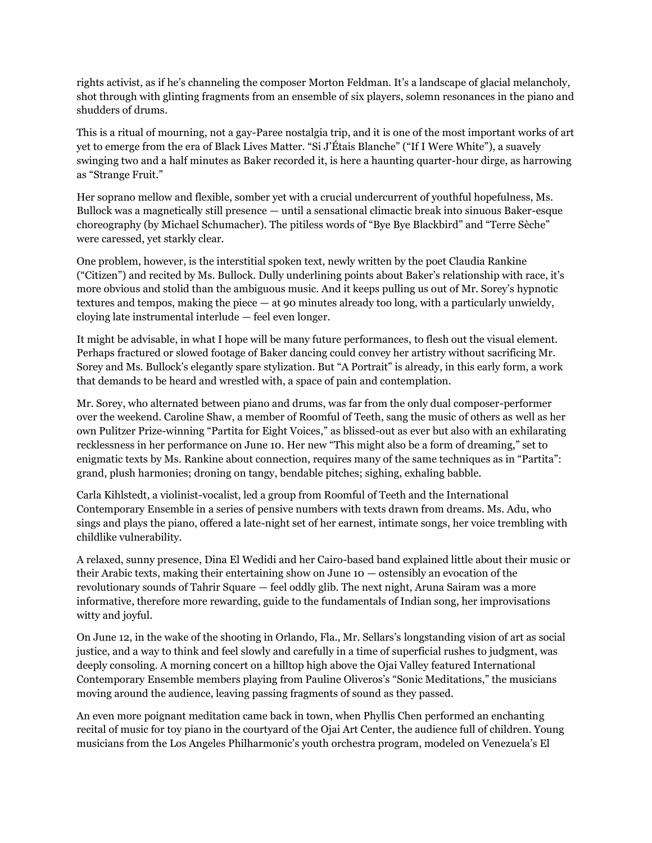rights activist, as if he's channeling the composer Morton Feldman. It's a landscape of glacial melancholy, shot through with glinting fragments from an ensemble of six players, solemn resonances in the piano and shudders of drums.

This is a ritual of mourning, not a gay-Paree nostalgia trip, and it is one of the most important works of art yet to emerge from the era of Black Lives Matter. "Si J'Étais Blanche" ("If I Were White"), a suavely swinging two and a half minutes as Baker recorded it, is here a haunting quarter-hour dirge, as harrowing as "Strange Fruit."

Her soprano mellow and flexible, somber yet with a crucial undercurrent of youthful hopefulness, Ms. Bullock was a magnetically still presence — until a sensational climactic break into sinuous Baker-esque choreography (by Michael Schumacher). The pitiless words of "Bye Bye Blackbird" and "Terre Sèche" were caressed, yet starkly clear.

One problem, however, is the interstitial spoken text, newly written by the poet Claudia Rankine ("Citizen") and recited by Ms. Bullock. Dully underlining points about Baker's relationship with race, it's more obvious and stolid than the ambiguous music. And it keeps pulling us out of Mr. Sorey's hypnotic textures and tempos, making the piece — at 90 minutes already too long, with a particularly unwieldy, cloying late instrumental interlude — feel even longer.

It might be advisable, in what I hope will be many future performances, to flesh out the visual element. Perhaps fractured or slowed footage of Baker dancing could convey her artistry without sacrificing Mr. Sorey and Ms. Bullock's elegantly spare stylization. But "A Portrait" is already, in this early form, a work that demands to be heard and wrestled with, a space of pain and contemplation.

Mr. Sorey, who alternated between piano and drums, was far from the only dual composer-performer over the weekend. Caroline Shaw, a member of Roomful of Teeth, sang the music of others as well as her own Pulitzer Prize-winning "Partita for Eight Voices," as blissed-out as ever but also with an exhilarating recklessness in her performance on June 10. Her new "This might also be a form of dreaming," set to enigmatic texts by Ms. Rankine about connection, requires many of the same techniques as in "Partita": grand, plush harmonies; droning on tangy, bendable pitches; sighing, exhaling babble.

Carla Kihlstedt, a violinist-vocalist, led a group from Roomful of Teeth and the International Contemporary Ensemble in a series of pensive numbers with texts drawn from dreams. Ms. Adu, who sings and plays the piano, offered a late-night set of her earnest, intimate songs, her voice trembling with childlike vulnerability.

A relaxed, sunny presence, Dina El Wedidi and her Cairo-based band explained little about their music or their Arabic texts, making their entertaining show on June 10 — ostensibly an evocation of the revolutionary sounds of Tahrir Square — feel oddly glib. The next night, Aruna Sairam was a more informative, therefore more rewarding, guide to the fundamentals of Indian song, her improvisations witty and joyful.

On June 12, in the wake of the shooting in Orlando, Fla., Mr. Sellars's longstanding vision of art as social justice, and a way to think and feel slowly and carefully in a time of superficial rushes to judgment, was deeply consoling. A morning concert on a hilltop high above the Ojai Valley featured International Contemporary Ensemble members playing from Pauline Oliveros's "Sonic Meditations," the musicians moving around the audience, leaving passing fragments of sound as they passed.

An even more poignant meditation came back in town, when Phyllis Chen performed an enchanting recital of music for toy piano in the courtyard of the Ojai Art Center, the audience full of children. Young musicians from the Los Angeles Philharmonic's youth orchestra program, modeled on Venezuela's El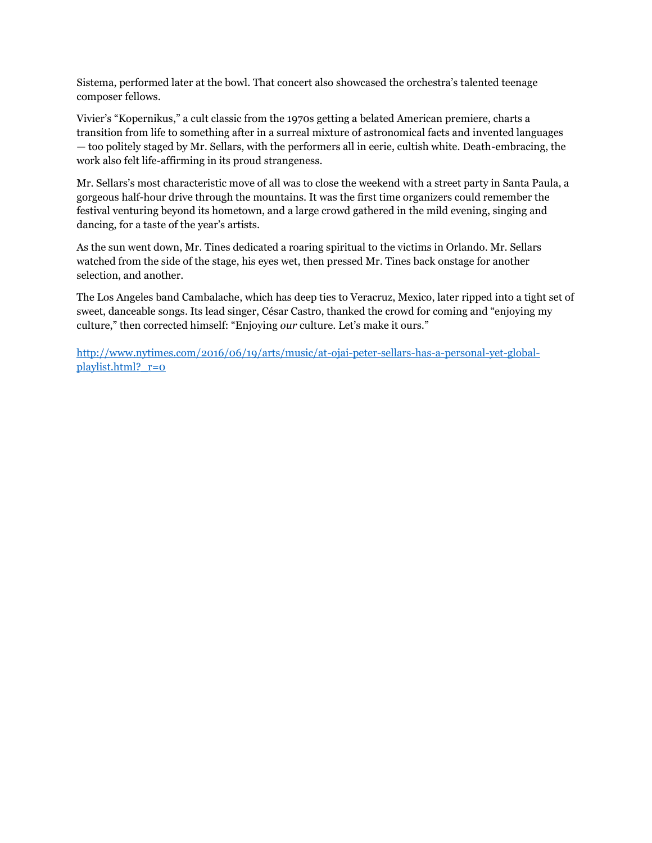Sistema, performed later at the bowl. That concert also showcased the orchestra's talented teenage composer fellows.

Vivier's "Kopernikus," a cult classic from the 1970s getting a belated American premiere, charts a transition from life to something after in a surreal mixture of astronomical facts and invented languages — too politely staged by Mr. Sellars, with the performers all in eerie, cultish white. Death-embracing, the work also felt life-affirming in its proud strangeness.

Mr. Sellars's most characteristic move of all was to close the weekend with a street party in Santa Paula, a gorgeous half-hour drive through the mountains. It was the first time organizers could remember the festival venturing beyond its hometown, and a large crowd gathered in the mild evening, singing and dancing, for a taste of the year's artists.

As the sun went down, Mr. Tines dedicated a roaring spiritual to the victims in Orlando. Mr. Sellars watched from the side of the stage, his eyes wet, then pressed Mr. Tines back onstage for another selection, and another.

The Los Angeles band Cambalache, which has deep ties to Veracruz, Mexico, later ripped into a tight set of sweet, danceable songs. Its lead singer, César Castro, thanked the crowd for coming and "enjoying my culture," then corrected himself: "Enjoying *our* culture. Let's make it ours."

[http://www.nytimes.com/2016/06/19/arts/music/at-ojai-peter-sellars-has-a-personal-yet-global](http://www.nytimes.com/2016/06/19/arts/music/at-ojai-peter-sellars-has-a-personal-yet-global-playlist.html?_r=0)[playlist.html?\\_r=0](http://www.nytimes.com/2016/06/19/arts/music/at-ojai-peter-sellars-has-a-personal-yet-global-playlist.html?_r=0)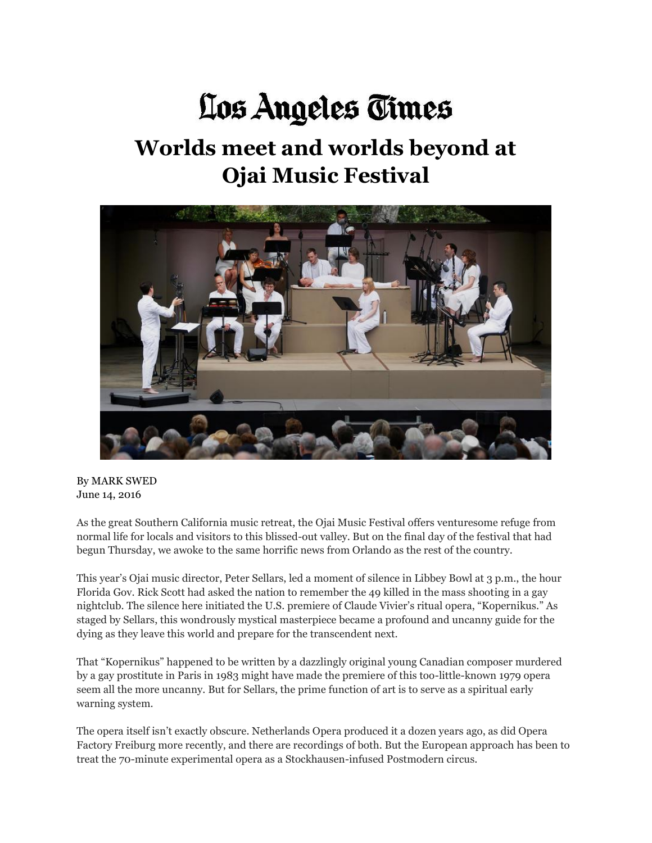# Los Angeles Times

#### **Worlds meet and worlds beyond at Ojai Music Festival**



By MARK SWED June 14, 2016

As the great Southern California music retreat, the Ojai Music Festival offers venturesome refuge from normal life for locals and visitors to this blissed-out valley. But on the final day of the festival that had begun Thursday, we awoke to the same horrific news from Orlando as the rest of the country.

This year's Ojai music director, Peter Sellars, led a moment of silence in Libbey Bowl at 3 p.m., the hour Florida Gov. Rick Scott had asked the nation to remember the 49 killed in the mass shooting in a gay nightclub. The silence here initiated the U.S. premiere of Claude Vivier's ritual opera, "Kopernikus." As staged by Sellars, this wondrously mystical masterpiece became a profound and uncanny guide for the dying as they leave this world and prepare for the transcendent next.

That "Kopernikus" happened to be written by a dazzlingly original young Canadian composer murdered by a gay prostitute in Paris in 1983 might have made the premiere of this too-little-known 1979 opera seem all the more uncanny. But for Sellars, the prime function of art is to serve as a spiritual early warning system.

The opera itself isn't exactly obscure. Netherlands Opera produced it a dozen years ago, as did Opera Factory Freiburg more recently, and there are recordings of both. But the European approach has been to treat the 70-minute experimental opera as a Stockhausen-infused Postmodern circus.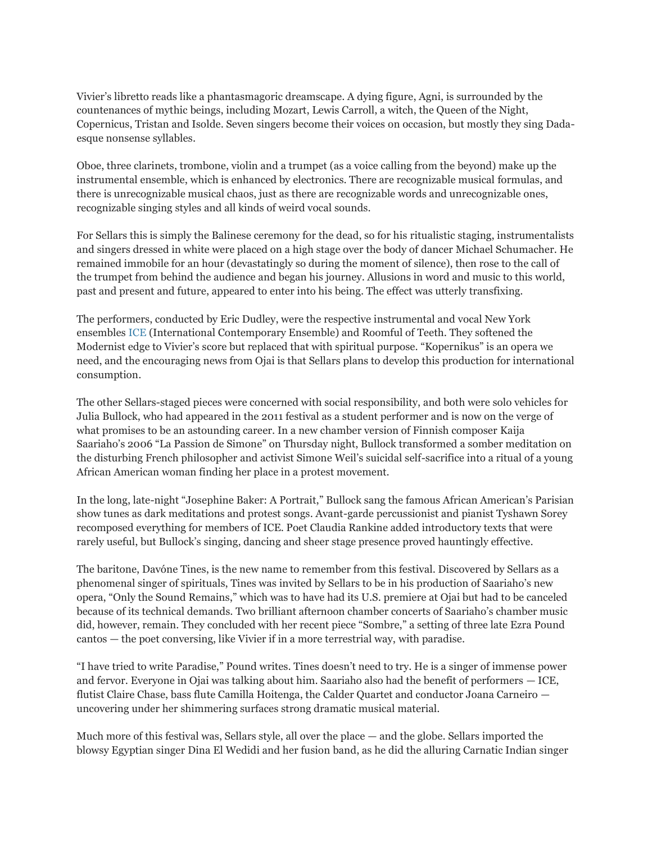Vivier's libretto reads like a phantasmagoric dreamscape. A dying figure, Agni, is surrounded by the countenances of mythic beings, including Mozart, Lewis Carroll, a witch, the Queen of the Night, Copernicus, Tristan and Isolde. Seven singers become their voices on occasion, but mostly they sing Dadaesque nonsense syllables.

Oboe, three clarinets, trombone, violin and a trumpet (as a voice calling from the beyond) make up the instrumental ensemble, which is enhanced by electronics. There are recognizable musical formulas, and there is unrecognizable musical chaos, just as there are recognizable words and unrecognizable ones, recognizable singing styles and all kinds of weird vocal sounds.

For Sellars this is simply the Balinese ceremony for the dead, so for his ritualistic staging, instrumentalists and singers dressed in white were placed on a high stage over the body of dancer Michael Schumacher. He remained immobile for an hour (devastatingly so during the moment of silence), then rose to the call of the trumpet from behind the audience and began his journey. Allusions in word and music to this world, past and present and future, appeared to enter into his being. The effect was utterly transfixing.

The performers, conducted by Eric Dudley, were the respective instrumental and vocal New York ensemble[s ICE](http://www.latimes.com/topic/social-issues/u.s.-immigration-customs-enforcement-ORGOV0000136156-topic.html) (International Contemporary Ensemble) and Roomful of Teeth. They softened the Modernist edge to Vivier's score but replaced that with spiritual purpose. "Kopernikus" is an opera we need, and the encouraging news from Ojai is that Sellars plans to develop this production for international consumption.

The other Sellars-staged pieces were concerned with social responsibility, and both were solo vehicles for Julia Bullock, who had appeared in the 2011 festival as a student performer and is now on the verge of what promises to be an astounding career. In a new chamber version of Finnish composer Kaija Saariaho's 2006 "La Passion de Simone" on Thursday night, Bullock transformed a somber meditation on the disturbing French philosopher and activist Simone Weil's suicidal self-sacrifice into a ritual of a young African American woman finding her place in a protest movement.

In the long, late-night "Josephine Baker: A Portrait," Bullock sang the famous African American's Parisian show tunes as dark meditations and protest songs. Avant-garde percussionist and pianist Tyshawn Sorey recomposed everything for members of ICE. Poet Claudia Rankine added introductory texts that were rarely useful, but Bullock's singing, dancing and sheer stage presence proved hauntingly effective.

The baritone, Davóne Tines, is the new name to remember from this festival. Discovered by Sellars as a phenomenal singer of spirituals, Tines was invited by Sellars to be in his production of Saariaho's new opera, "Only the Sound Remains," which was to have had its U.S. premiere at Ojai but had to be canceled because of its technical demands. Two brilliant afternoon chamber concerts of Saariaho's chamber music did, however, remain. They concluded with her recent piece "Sombre," a setting of three late Ezra Pound cantos — the poet conversing, like Vivier if in a more terrestrial way, with paradise.

"I have tried to write Paradise," Pound writes. Tines doesn't need to try. He is a singer of immense power and fervor. Everyone in Ojai was talking about him. Saariaho also had the benefit of performers — ICE, flutist Claire Chase, bass flute Camilla Hoitenga, the Calder Quartet and conductor Joana Carneiro uncovering under her shimmering surfaces strong dramatic musical material.

Much more of this festival was, Sellars style, all over the place — and the globe. Sellars imported the blowsy Egyptian singer Dina El Wedidi and her fusion band, as he did the alluring Carnatic Indian singer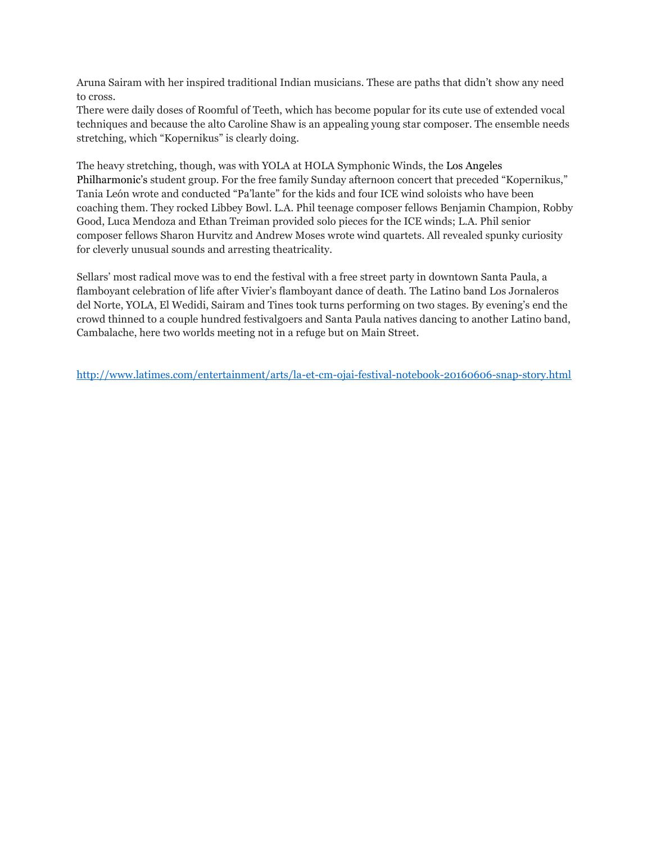Aruna Sairam with her inspired traditional Indian musicians. These are paths that didn't show any need to cross.

There were daily doses of Roomful of Teeth, which has become popular for its cute use of extended vocal techniques and because the alto Caroline Shaw is an appealing young star composer. The ensemble needs stretching, which "Kopernikus" is clearly doing.

The heavy stretching, though, was with YOLA at HOLA Symphonic Winds, the Los Angeles Philharmonic's student group. For the free family Sunday afternoon concert that preceded "Kopernikus," Tania León wrote and conducted "Pa'lante" for the kids and four ICE wind soloists who have been coaching them. They rocked Libbey Bowl. L.A. Phil teenage composer fellows Benjamin Champion, Robby Good, Luca Mendoza and Ethan Treiman provided solo pieces for the ICE winds; L.A. Phil senior composer fellows Sharon Hurvitz and Andrew Moses wrote wind quartets. All revealed spunky curiosity for cleverly unusual sounds and arresting theatricality.

Sellars' most radical move was to end the festival with a free street party in downtown Santa Paula, a flamboyant celebration of life after Vivier's flamboyant dance of death. The Latino band Los Jornaleros del Norte, YOLA, El Wedidi, Sairam and Tines took turns performing on two stages. By evening's end the crowd thinned to a couple hundred festivalgoers and Santa Paula natives dancing to another Latino band, Cambalache, here two worlds meeting not in a refuge but on Main Street.

<http://www.latimes.com/entertainment/arts/la-et-cm-ojai-festival-notebook-20160606-snap-story.html>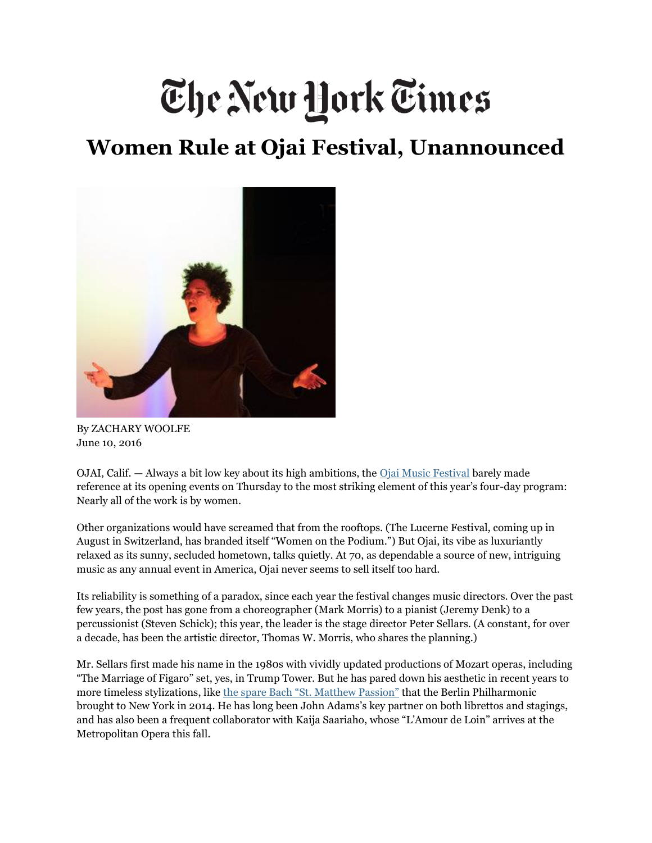# The New York Times

#### **Women Rule at Ojai Festival, Unannounced**



By ZACHARY WOOLFE June 10, 2016

OJAI, Calif. — Always a bit low key about its high ambitions, the Ojai Music Festival barely made reference at its opening events on Thursday to the most striking element of this year's four-day program: Nearly all of the work is by women.

Other organizations would have screamed that from the rooftops. (The Lucerne Festival, coming up in August in Switzerland, has branded itself "Women on the Podium.") But Ojai, its vibe as luxuriantly relaxed as its sunny, secluded hometown, talks quietly. At 70, as dependable a source of new, intriguing music as any annual event in America, Ojai never seems to sell itself too hard.

Its reliability is something of a paradox, since each year the festival changes music directors. Over the past few years, the post has gone from a choreographer (Mark Morris) to a pianist (Jeremy Denk) to a percussionist (Steven Schick); this year, the leader is the stage director Peter Sellars. (A constant, for over a decade, has been the artistic director, Thomas W. Morris, who shares the planning.)

Mr. Sellars first made his name in the 1980s with vividly updated productions of Mozart operas, including "The Marriage of Figaro" set, yes, in Trump Tower. But he has pared down his aesthetic in recent years to more timeless stylizations, like [the spare Bach "St. Matthew Passion"](http://www.nytimes.com/2012/06/10/arts/music/in-dvd-of-st-matthew-passion-hints-of-sellarss-future.html) that the Berlin Philharmonic brought to New York in 2014. He has long been John Adams's key partner on both librettos and stagings, and has also been a frequent collaborator with Kaija Saariaho, whose "L'Amour de Loin" arrives at the Metropolitan Opera this fall.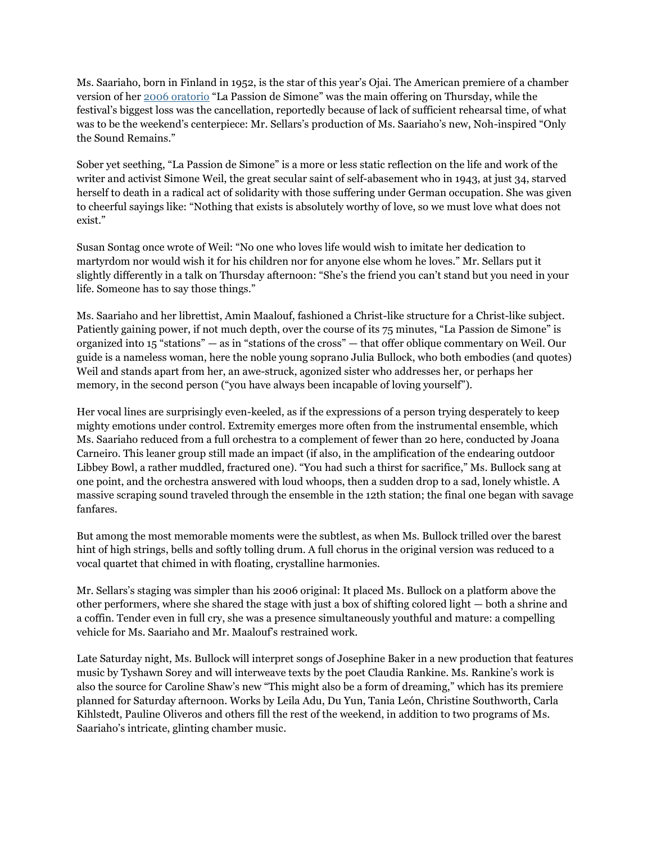Ms. Saariaho, born in Finland in 1952, is the star of this year's Ojai. The American premiere of a chamber version of her [2006 oratorio](http://www.nytimes.com/2006/11/29/arts/music/29simo.html) "La Passion de Simone" was the main offering on Thursday, while the festival's biggest loss was the cancellation, reportedly because of lack of sufficient rehearsal time, of what was to be the weekend's centerpiece: Mr. Sellars's production of Ms. Saariaho's new, Noh-inspired "Only the Sound Remains."

Sober yet seething, "La Passion de Simone" is a more or less static reflection on the life and work of the writer and activist Simone Weil, the great secular saint of self-abasement who in 1943, at just 34, starved herself to death in a radical act of solidarity with those suffering under German occupation. She was given to cheerful sayings like: "Nothing that exists is absolutely worthy of love, so we must love what does not exist."

Susan Sontag once wrote of Weil: "No one who loves life would wish to imitate her dedication to martyrdom nor would wish it for his children nor for anyone else whom he loves." Mr. Sellars put it slightly differently in a talk on Thursday afternoon: "She's the friend you can't stand but you need in your life. Someone has to say those things."

Ms. Saariaho and her librettist, Amin Maalouf, fashioned a Christ-like structure for a Christ-like subject. Patiently gaining power, if not much depth, over the course of its 75 minutes, "La Passion de Simone" is organized into 15 "stations" — as in "stations of the cross" — that offer oblique commentary on Weil. Our guide is a nameless woman, here the noble young soprano Julia Bullock, who both embodies (and quotes) Weil and stands apart from her, an awe-struck, agonized sister who addresses her, or perhaps her memory, in the second person ("you have always been incapable of loving yourself").

Her vocal lines are surprisingly even-keeled, as if the expressions of a person trying desperately to keep mighty emotions under control. Extremity emerges more often from the instrumental ensemble, which Ms. Saariaho reduced from a full orchestra to a complement of fewer than 20 here, conducted by Joana Carneiro. This leaner group still made an impact (if also, in the amplification of the endearing outdoor Libbey Bowl, a rather muddled, fractured one). "You had such a thirst for sacrifice," Ms. Bullock sang at one point, and the orchestra answered with loud whoops, then a sudden drop to a sad, lonely whistle. A massive scraping sound traveled through the ensemble in the 12th station; the final one began with savage fanfares.

But among the most memorable moments were the subtlest, as when Ms. Bullock trilled over the barest hint of high strings, bells and softly tolling drum. A full chorus in the original version was reduced to a vocal quartet that chimed in with floating, crystalline harmonies.

Mr. Sellars's staging was simpler than his 2006 original: It placed Ms. Bullock on a platform above the other performers, where she shared the stage with just a box of shifting colored light — both a shrine and a coffin. Tender even in full cry, she was a presence simultaneously youthful and mature: a compelling vehicle for Ms. Saariaho and Mr. Maalouf's restrained work.

Late Saturday night, Ms. Bullock will interpret songs of Josephine Baker in a new production that features music by Tyshawn Sorey and will interweave texts by the poet Claudia Rankine. Ms. Rankine's work is also the source for Caroline Shaw's new "This might also be a form of dreaming," which has its premiere planned for Saturday afternoon. Works by Leila Adu, Du Yun, Tania León, Christine Southworth, Carla Kihlstedt, Pauline Oliveros and others fill the rest of the weekend, in addition to two programs of Ms. Saariaho's intricate, glinting chamber music.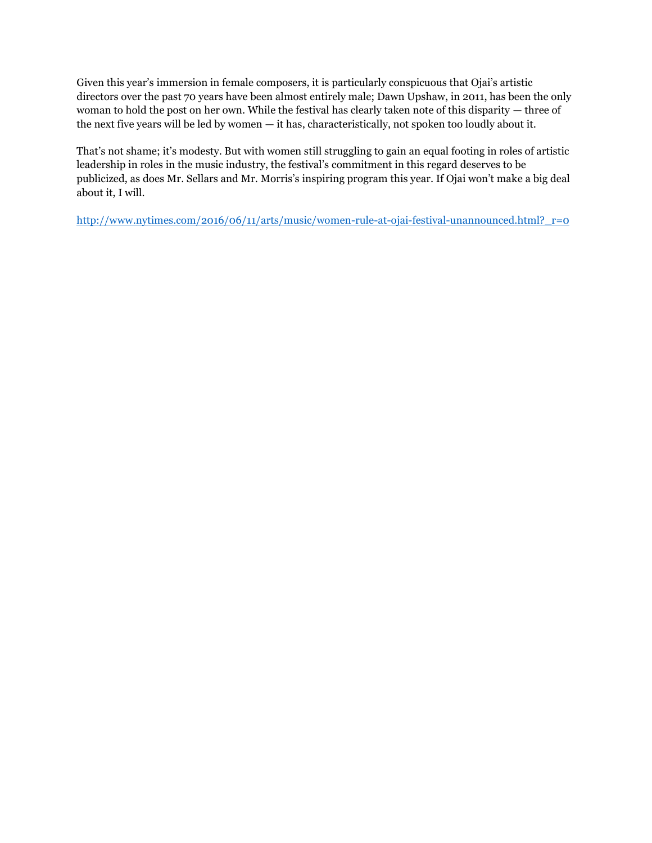Given this year's immersion in female composers, it is particularly conspicuous that Ojai's artistic directors over the past 70 years have been almost entirely male; Dawn Upshaw, in 2011, has been the only woman to hold the post on her own. While the festival has clearly taken note of this disparity — three of the next five years will be led by women — it has, characteristically, not spoken too loudly about it.

That's not shame; it's modesty. But with women still struggling to gain an equal footing in roles of artistic leadership in roles in the music industry, the festival's commitment in this regard deserves to be publicized, as does Mr. Sellars and Mr. Morris's inspiring program this year. If Ojai won't make a big deal about it, I will.

http://www.nytimes.com/2016/06/11/arts/music/women-rule-at-ojai-festival-unannounced.html? r=0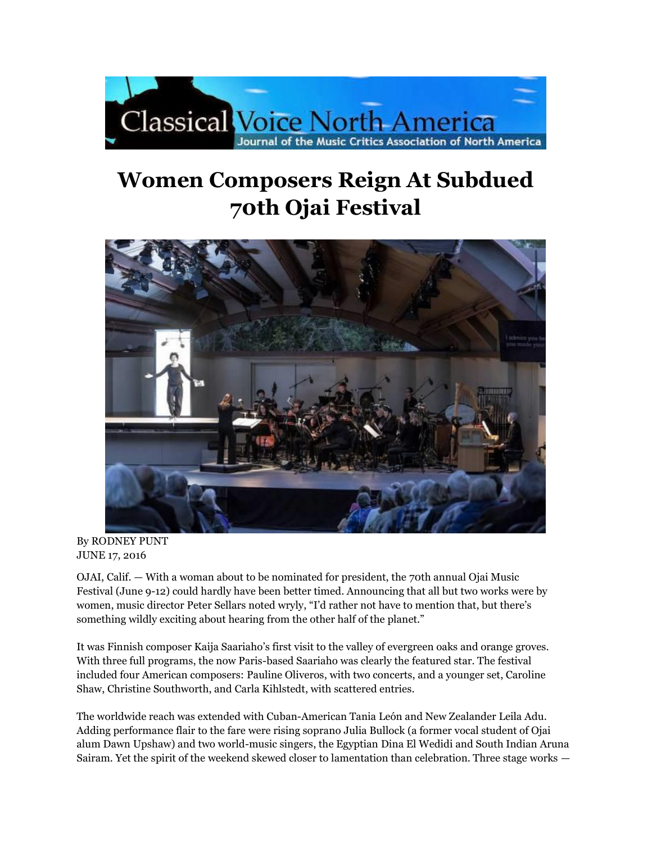

#### **Women Composers Reign At Subdued 70th Ojai Festival**



By RODNEY PUNT JUNE 17, 2016

OJAI, Calif. — With a woman about to be nominated for president, the 70th annual Ojai Music Festival (June 9-12) could hardly have been better timed. Announcing that all but two works were by women, music director Peter Sellars noted wryly, "I'd rather not have to mention that, but there's something wildly exciting about hearing from the other half of the planet."

It was Finnish composer Kaija Saariaho's first visit to the valley of evergreen oaks and orange groves. With three full programs, the now Paris-based Saariaho was clearly the featured star. The festival included four American composers: Pauline Oliveros, with two concerts, and a younger set, Caroline Shaw, Christine Southworth, and Carla Kihlstedt, with scattered entries.

The worldwide reach was extended with Cuban-American Tania León and New Zealander Leila Adu. Adding performance flair to the fare were rising soprano Julia Bullock (a former vocal student of Ojai alum Dawn Upshaw) and two world-music singers, the Egyptian Dina El Wedidi and South Indian Aruna Sairam. Yet the spirit of the weekend skewed closer to lamentation than celebration. Three stage works —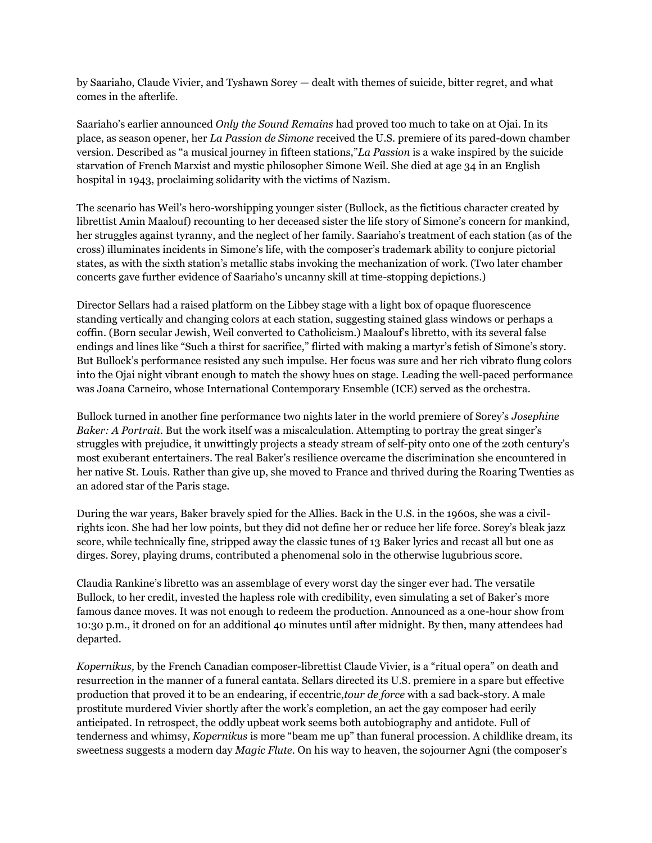by Saariaho, Claude Vivier, and Tyshawn Sorey — dealt with themes of suicide, bitter regret, and what comes in the afterlife.

Saariaho's earlier announced *Only the Sound Remains* had proved too much to take on at Ojai. In its place, as season opener, her *La Passion de Simone* received the U.S. premiere of its pared-down chamber version. Described as "a musical journey in fifteen stations,"*La Passion* is a wake inspired by the suicide starvation of French Marxist and mystic philosopher Simone Weil. She died at age 34 in an English hospital in 1943, proclaiming solidarity with the victims of Nazism.

The scenario has Weil's hero-worshipping younger sister (Bullock, as the fictitious character created by librettist Amin Maalouf) recounting to her deceased sister the life story of Simone's concern for mankind, her struggles against tyranny, and the neglect of her family. Saariaho's treatment of each station (as of the cross) illuminates incidents in Simone's life, with the composer's trademark ability to conjure pictorial states, as with the sixth station's metallic stabs invoking the mechanization of work. (Two later chamber concerts gave further evidence of Saariaho's uncanny skill at time-stopping depictions.)

Director Sellars had a raised platform on the Libbey stage with a light box of opaque fluorescence standing vertically and changing colors at each station, suggesting stained glass windows or perhaps a coffin. (Born secular Jewish, Weil converted to Catholicism.) Maalouf's libretto, with its several false endings and lines like "Such a thirst for sacrifice," flirted with making a martyr's fetish of Simone's story. But Bullock's performance resisted any such impulse. Her focus was sure and her rich vibrato flung colors into the Ojai night vibrant enough to match the showy hues on stage. Leading the well-paced performance was Joana Carneiro, whose International Contemporary Ensemble (ICE) served as the orchestra.

Bullock turned in another fine performance two nights later in the world premiere of Sorey's *Josephine Baker: A Portrait.* But the work itself was a miscalculation. Attempting to portray the great singer's struggles with prejudice, it unwittingly projects a steady stream of self-pity onto one of the 20th century's most exuberant entertainers. The real Baker's resilience overcame the discrimination she encountered in her native St. Louis. Rather than give up, she moved to France and thrived during the Roaring Twenties as an adored star of the Paris stage.

During the war years, Baker bravely spied for the Allies. Back in the U.S. in the 1960s, she was a civilrights icon. She had her low points, but they did not define her or reduce her life force. Sorey's bleak jazz score, while technically fine, stripped away the classic tunes of 13 Baker lyrics and recast all but one as dirges. Sorey, playing drums, contributed a phenomenal solo in the otherwise lugubrious score.

Claudia Rankine's libretto was an assemblage of every worst day the singer ever had. The versatile Bullock, to her credit, invested the hapless role with credibility, even simulating a set of Baker's more famous dance moves. It was not enough to redeem the production. Announced as a one-hour show from 10:30 p.m., it droned on for an additional 40 minutes until after midnight. By then, many attendees had departed.

*Kopernikus,* by the French Canadian composer-librettist Claude Vivier, is a "ritual opera" on death and resurrection in the manner of a funeral cantata. Sellars directed its U.S. premiere in a spare but effective production that proved it to be an endearing, if eccentric,*tour de force* with a sad back-story. A male prostitute murdered Vivier shortly after the work's completion, an act the gay composer had eerily anticipated. In retrospect, the oddly upbeat work seems both autobiography and antidote. Full of tenderness and whimsy, *Kopernikus* is more "beam me up" than funeral procession. A childlike dream, its sweetness suggests a modern day *Magic Flute*. On his way to heaven, the sojourner Agni (the composer's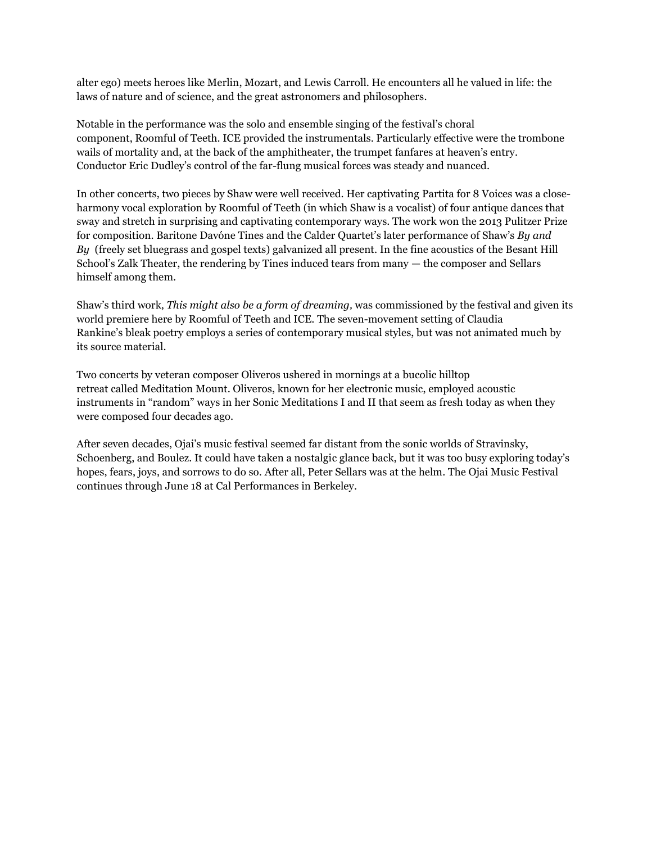alter ego) meets heroes like Merlin, Mozart, and Lewis Carroll. He encounters all he valued in life: the laws of nature and of science, and the great astronomers and philosophers.

Notable in the performance was the solo and ensemble singing of the festival's choral component, Roomful of Teeth. ICE provided the instrumentals. Particularly effective were the trombone wails of mortality and, at the back of the amphitheater, the trumpet fanfares at heaven's entry. Conductor Eric Dudley's control of the far-flung musical forces was steady and nuanced.

In other concerts, two pieces by Shaw were well received. Her captivating Partita for 8 Voices was a closeharmony vocal exploration by Roomful of Teeth (in which Shaw is a vocalist) of four antique dances that sway and stretch in surprising and captivating contemporary ways. The work won the 2013 Pulitzer Prize for composition. Baritone Davóne Tines and the Calder Quartet's later performance of Shaw's *By and By* (freely set bluegrass and gospel texts) galvanized all present. In the fine acoustics of the Besant Hill School's Zalk Theater, the rendering by Tines induced tears from many — the composer and Sellars himself among them.

Shaw's third work, *This might also be a form of dreaming,* was commissioned by the festival and given its world premiere here by Roomful of Teeth and ICE. The seven-movement setting of Claudia Rankine's bleak poetry employs a series of contemporary musical styles, but was not animated much by its source material.

Two concerts by veteran composer Oliveros ushered in mornings at a bucolic hilltop retreat called Meditation Mount. Oliveros, known for her electronic music, employed acoustic instruments in "random" ways in her Sonic Meditations I and II that seem as fresh today as when they were composed four decades ago.

After seven decades, Ojai's music festival seemed far distant from the sonic worlds of Stravinsky, Schoenberg, and Boulez. It could have taken a nostalgic glance back, but it was too busy exploring today's hopes, fears, joys, and sorrows to do so. After all, Peter Sellars was at the helm. The Ojai Music Festival continues through June 18 at Cal Performances in Berkeley.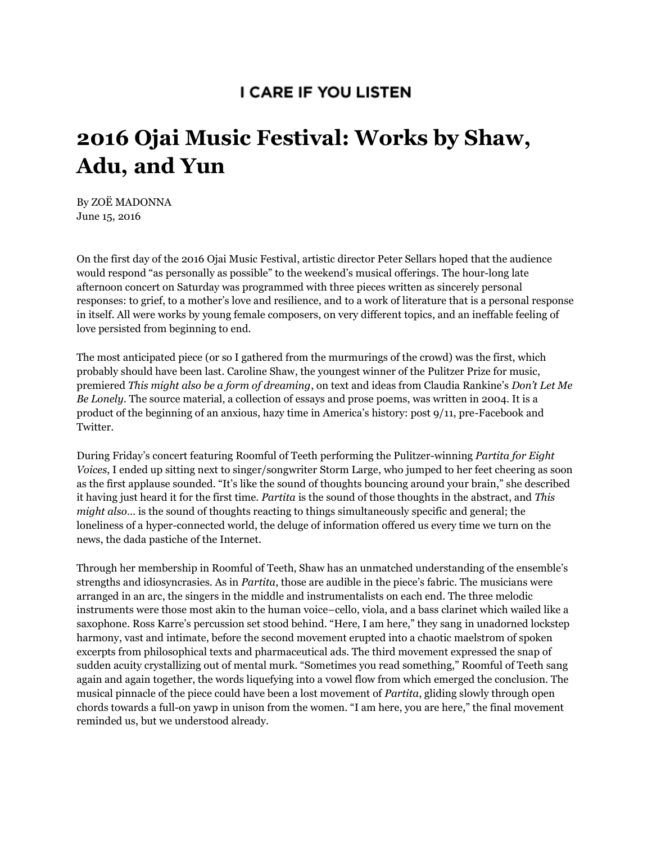#### I CARE IF YOU LISTEN

#### **2016 Ojai Music Festival: Works by Shaw, Adu, and Yun**

By ZOË MADONNA June 15, 2016

On the first day of the 2016 Ojai Music Festival, artistic director Peter Sellars hoped that the audience would respond "as personally as possible" to the weekend's musical offerings. The hour-long late afternoon concert on Saturday was programmed with three pieces written as sincerely personal responses: to grief, to a mother's love and resilience, and to a work of literature that is a personal response in itself. All were works by young female composers, on very different topics, and an ineffable feeling of love persisted from beginning to end.

The most anticipated piece (or so I gathered from the murmurings of the crowd) was the first, which probably should have been last. Caroline Shaw, the youngest winner of the Pulitzer Prize for music, premiered *This might also be a form of dreaming*, on text and ideas from Claudia Rankine's *Don't Let Me Be Lonely*. The source material, a collection of essays and prose poems, was written in 2004. It is a product of the beginning of an anxious, hazy time in America's history: post 9/11, pre-Facebook and Twitter.

During Friday's concert featuring Roomful of Teeth performing the Pulitzer-winning *Partita for Eight Voices*, I ended up sitting next to singer/songwriter Storm Large, who jumped to her feet cheering as soon as the first applause sounded. "It's like the sound of thoughts bouncing around your brain," she described it having just heard it for the first time. *Partita* is the sound of those thoughts in the abstract, and *This might also…* is the sound of thoughts reacting to things simultaneously specific and general; the loneliness of a hyper-connected world, the deluge of information offered us every time we turn on the news, the dada pastiche of the Internet.

Through her membership in Roomful of Teeth, Shaw has an unmatched understanding of the ensemble's strengths and idiosyncrasies. As in *Partita*, those are audible in the piece's fabric. The musicians were arranged in an arc, the singers in the middle and instrumentalists on each end. The three melodic instruments were those most akin to the human voice–cello, viola, and a bass clarinet which wailed like a saxophone. Ross Karre's percussion set stood behind. "Here, I am here," they sang in unadorned lockstep harmony, vast and intimate, before the second movement erupted into a chaotic maelstrom of spoken excerpts from philosophical texts and pharmaceutical ads. The third movement expressed the snap of sudden acuity crystallizing out of mental murk. "Sometimes you read something," Roomful of Teeth sang again and again together, the words liquefying into a vowel flow from which emerged the conclusion. The musical pinnacle of the piece could have been a lost movement of *Partita*, gliding slowly through open chords towards a full-on yawp in unison from the women. "I am here, you are here," the final movement reminded us, but we understood already.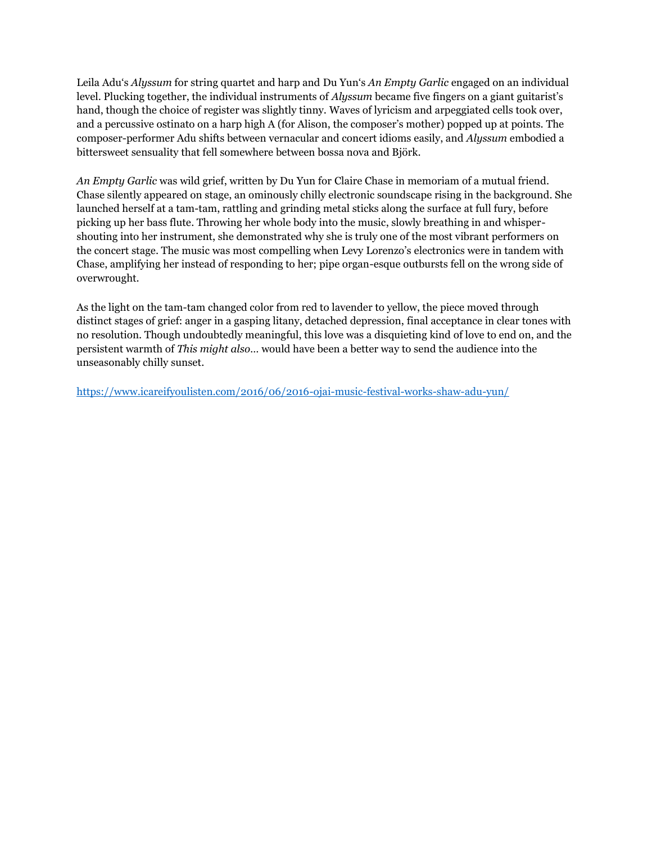Leila Adu's *Alyssum* for string quartet and harp and Du Yun's *An Empty Garlic* engaged on an individual level. Plucking together, the individual instruments of *Alyssum* became five fingers on a giant guitarist's hand, though the choice of register was slightly tinny. Waves of lyricism and arpeggiated cells took over, and a percussive ostinato on a harp high A (for Alison, the composer's mother) popped up at points. The composer-performer Adu shifts between vernacular and concert idioms easily, and *Alyssum* embodied a bittersweet sensuality that fell somewhere between bossa nova and Björk.

*An Empty Garlic* was wild grief, written by Du Yun for Claire Chase in memoriam of a mutual friend. Chase silently appeared on stage, an ominously chilly electronic soundscape rising in the background. She launched herself at a tam-tam, rattling and grinding metal sticks along the surface at full fury, before picking up her bass flute. Throwing her whole body into the music, slowly breathing in and whispershouting into her instrument, she demonstrated why she is truly one of the most vibrant performers on the concert stage. The music was most compelling when Levy Lorenzo's electronics were in tandem with Chase, amplifying her instead of responding to her; pipe organ-esque outbursts fell on the wrong side of overwrought.

As the light on the tam-tam changed color from red to lavender to yellow, the piece moved through distinct stages of grief: anger in a gasping litany, detached depression, final acceptance in clear tones with no resolution. Though undoubtedly meaningful, this love was a disquieting kind of love to end on, and the persistent warmth of *This might also…* would have been a better way to send the audience into the unseasonably chilly sunset.

<https://www.icareifyoulisten.com/2016/06/2016-ojai-music-festival-works-shaw-adu-yun/>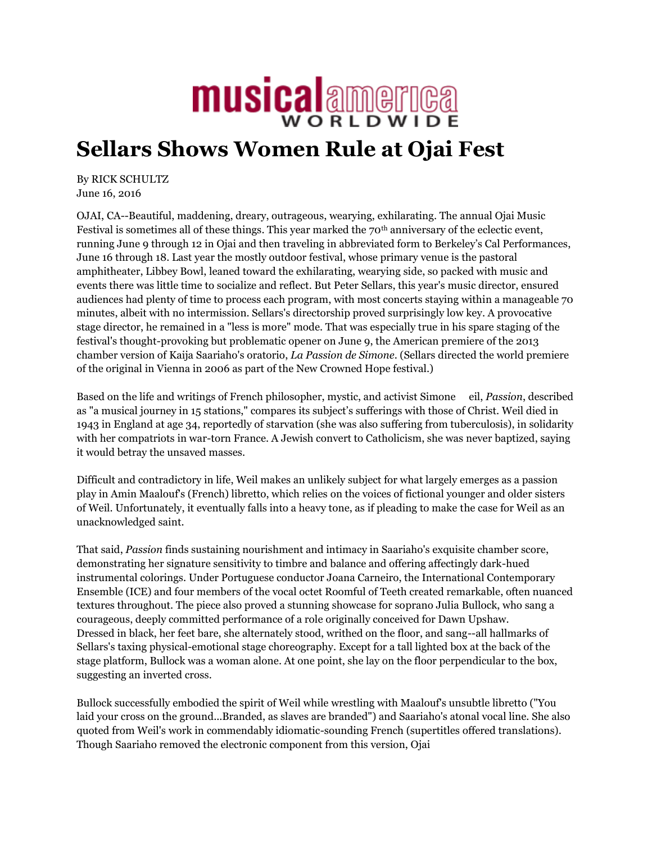

#### **Sellars Shows Women Rule at Ojai Fest**

By RICK SCHULTZ June 16, 2016

OJAI, CA--Beautiful, maddening, dreary, outrageous, wearying, exhilarating. The annual Ojai Music Festival is sometimes all of these things. This year marked the  $70<sup>th</sup>$  anniversary of the eclectic event, running June 9 through 12 in Ojai and then traveling in abbreviated form to Berkeley's Cal Performances, June 16 through 18. Last year the mostly outdoor festival, whose primary venue is the pastoral amphitheater, Libbey Bowl, leaned toward the exhilarating, wearying side, so packed with music and events there was little time to socialize and reflect. But Peter Sellars, this year's music director, ensured audiences had plenty of time to process each program, with most concerts staying within a manageable 70 minutes, albeit with no intermission. Sellars's directorship proved surprisingly low key. A provocative stage director, he remained in a "less is more" mode. That was especially true in his spare staging of the festival's thought-provoking but problematic opener on June 9, the American premiere of the 2013 chamber version of Kaija Saariaho's oratorio, *La Passion de Simone*. (Sellars directed the world premiere of the original in Vienna in 2006 as part of the New Crowned Hope festival.)

Based on the life and writings of French philosopher, mystic, and activist Simone eil, *Passion*, described as "a musical journey in 15 stations," compares its subject's sufferings with those of Christ. Weil died in 1943 in England at age 34, reportedly of starvation (she was also suffering from tuberculosis), in solidarity with her compatriots in war-torn France. A Jewish convert to Catholicism, she was never baptized, saying it would betray the unsaved masses.

Difficult and contradictory in life, Weil makes an unlikely subject for what largely emerges as a passion play in Amin Maalouf's (French) libretto, which relies on the voices of fictional younger and older sisters of Weil. Unfortunately, it eventually falls into a heavy tone, as if pleading to make the case for Weil as an unacknowledged saint.

That said, *Passion* finds sustaining nourishment and intimacy in Saariaho's exquisite chamber score, demonstrating her signature sensitivity to timbre and balance and offering affectingly dark-hued instrumental colorings. Under Portuguese conductor Joana Carneiro, the International Contemporary Ensemble (ICE) and four members of the vocal octet Roomful of Teeth created remarkable, often nuanced textures throughout. The piece also proved a stunning showcase for soprano Julia Bullock, who sang a courageous, deeply committed performance of a role originally conceived for Dawn Upshaw. Dressed in black, her feet bare, she alternately stood, writhed on the floor, and sang--all hallmarks of Sellars's taxing physical-emotional stage choreography. Except for a tall lighted box at the back of the stage platform, Bullock was a woman alone. At one point, she lay on the floor perpendicular to the box, suggesting an inverted cross.

Bullock successfully embodied the spirit of Weil while wrestling with Maalouf's unsubtle libretto ("You laid your cross on the ground...Branded, as slaves are branded") and Saariaho's atonal vocal line. She also quoted from Weil's work in commendably idiomatic-sounding French (supertitles offered translations). Though Saariaho removed the electronic component from this version, Ojai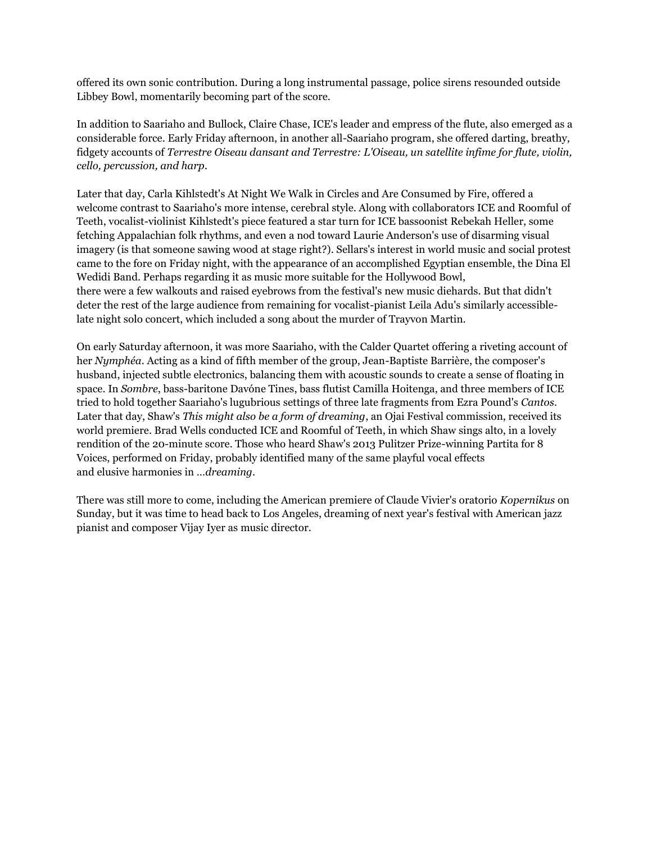offered its own sonic contribution. During a long instrumental passage, police sirens resounded outside Libbey Bowl, momentarily becoming part of the score.

In addition to Saariaho and Bullock, Claire Chase, ICE's leader and empress of the flute, also emerged as a considerable force. Early Friday afternoon, in another all-Saariaho program, she offered darting, breathy, fidgety accounts of *Terrestre Oiseau dansant and Terrestre: L'Oiseau, un satellite infime for flute, violin, cello, percussion, and harp.*

Later that day, Carla Kihlstedt's At Night We Walk in Circles and Are Consumed by Fire, offered a welcome contrast to Saariaho's more intense, cerebral style. Along with collaborators ICE and Roomful of Teeth, vocalist-violinist Kihlstedt's piece featured a star turn for ICE bassoonist Rebekah Heller, some fetching Appalachian folk rhythms, and even a nod toward Laurie Anderson's use of disarming visual imagery (is that someone sawing wood at stage right?). Sellars's interest in world music and social protest came to the fore on Friday night, with the appearance of an accomplished Egyptian ensemble, the Dina El Wedidi Band. Perhaps regarding it as music more suitable for the Hollywood Bowl, there were a few walkouts and raised eyebrows from the festival's new music diehards. But that didn't deter the rest of the large audience from remaining for vocalist-pianist Leila Adu's similarly accessiblelate night solo concert, which included a song about the murder of Trayvon Martin.

On early Saturday afternoon, it was more Saariaho, with the Calder Quartet offering a riveting account of her *Nymphéa*. Acting as a kind of fifth member of the group, Jean-Baptiste Barrière, the composer's husband, injected subtle electronics, balancing them with acoustic sounds to create a sense of floating in space. In *Sombre*, bass-baritone Davóne Tines, bass flutist Camilla Hoitenga, and three members of ICE tried to hold together Saariaho's lugubrious settings of three late fragments from Ezra Pound's *Cantos*. Later that day, Shaw's *This might also be a form of dreaming*, an Ojai Festival commission, received its world premiere. Brad Wells conducted ICE and Roomful of Teeth, in which Shaw sings alto, in a lovely rendition of the 20-minute score. Those who heard Shaw's 2013 Pulitzer Prize-winning Partita for 8 Voices, performed on Friday, probably identified many of the same playful vocal effects and elusive harmonies in …*dreaming*.

There was still more to come, including the American premiere of Claude Vivier's oratorio *Kopernikus* on Sunday, but it was time to head back to Los Angeles, dreaming of next year's festival with American jazz pianist and composer Vijay Iyer as music director.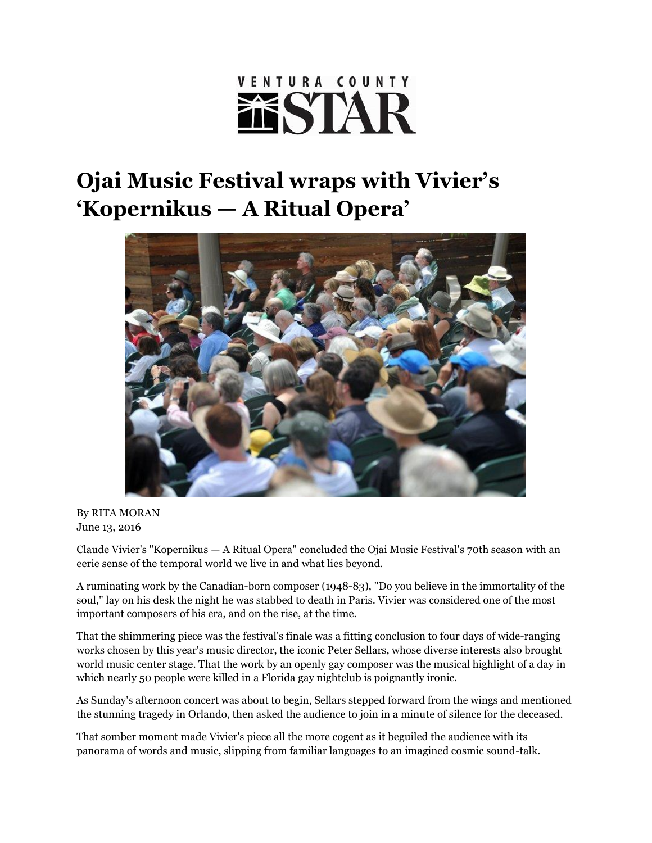# VENTURA COUNTY **XSTAR**

#### **Ojai Music Festival wraps with Vivier's 'Kopernikus — A Ritual Opera'**



By RITA MORAN June 13, 2016

Claude Vivier's "Kopernikus — A Ritual Opera" concluded the Ojai Music Festival's 70th season with an eerie sense of the temporal world we live in and what lies beyond.

A ruminating work by the Canadian-born composer (1948-83), "Do you believe in the immortality of the soul," lay on his desk the night he was stabbed to death in Paris. Vivier was considered one of the most important composers of his era, and on the rise, at the time.

That the shimmering piece was the festival's finale was a fitting conclusion to four days of wide-ranging works chosen by this year's music director, the iconic Peter Sellars, whose diverse interests also brought world music center stage. That the work by an openly gay composer was the musical highlight of a day in which nearly 50 people were killed in a Florida gay nightclub is poignantly ironic.

As Sunday's afternoon concert was about to begin, Sellars stepped forward from the wings and mentioned the stunning tragedy in Orlando, then asked the audience to join in a minute of silence for the deceased.

That somber moment made Vivier's piece all the more cogent as it beguiled the audience with its panorama of words and music, slipping from familiar languages to an imagined cosmic sound-talk.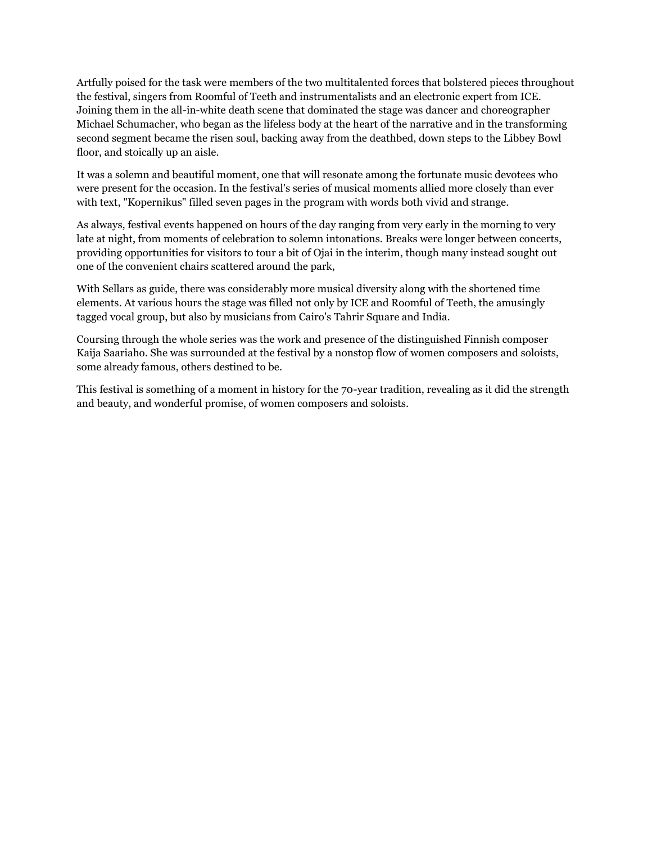Artfully poised for the task were members of the two multitalented forces that bolstered pieces throughout the festival, singers from Roomful of Teeth and instrumentalists and an electronic expert from ICE. Joining them in the all-in-white death scene that dominated the stage was dancer and choreographer Michael Schumacher, who began as the lifeless body at the heart of the narrative and in the transforming second segment became the risen soul, backing away from the deathbed, down steps to the Libbey Bowl floor, and stoically up an aisle.

It was a solemn and beautiful moment, one that will resonate among the fortunate music devotees who were present for the occasion. In the festival's series of musical moments allied more closely than ever with text, "Kopernikus" filled seven pages in the program with words both vivid and strange.

As always, festival events happened on hours of the day ranging from very early in the morning to very late at night, from moments of celebration to solemn intonations. Breaks were longer between concerts, providing opportunities for visitors to tour a bit of Ojai in the interim, though many instead sought out one of the convenient chairs scattered around the park,

With Sellars as guide, there was considerably more musical diversity along with the shortened time elements. At various hours the stage was filled not only by ICE and Roomful of Teeth, the amusingly tagged vocal group, but also by musicians from Cairo's Tahrir Square and India.

Coursing through the whole series was the work and presence of the distinguished Finnish composer Kaija Saariaho. She was surrounded at the festival by a nonstop flow of women composers and soloists, some already famous, others destined to be.

This festival is something of a moment in history for the 70-year tradition, revealing as it did the strength and beauty, and wonderful promise, of women composers and soloists.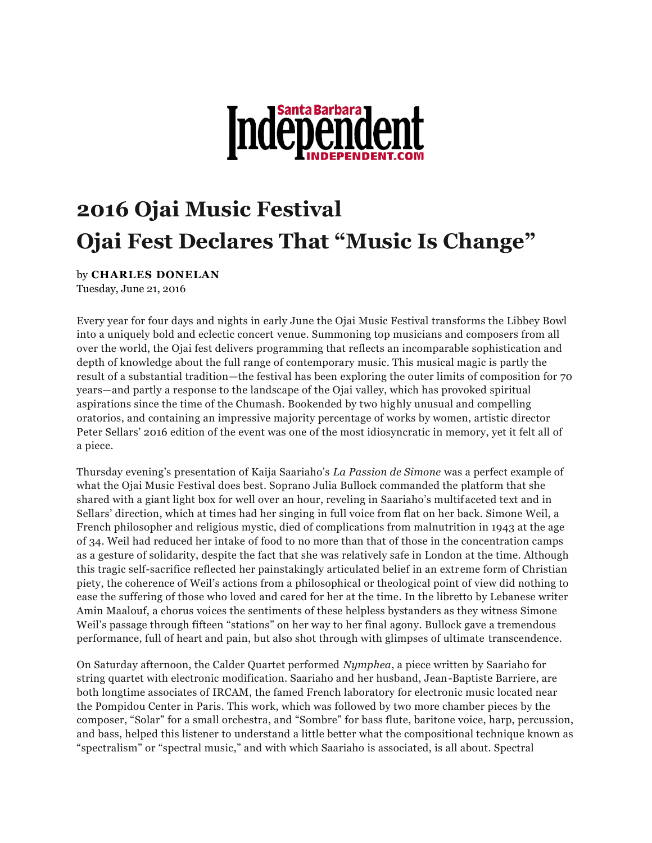

### **2016 Ojai Music Festival Ojai Fest Declares That "Music Is Change"**

by **CHARLES DONELAN**

Tuesday, June 21, 2016

Every year for four days and nights in early June the Ojai Music Festival transforms the Libbey Bowl into a uniquely bold and eclectic concert venue. Summoning top musicians and composers from all over the world, the Ojai fest delivers programming that reflects an incomparable sophistication and depth of knowledge about the full range of contemporary music. This musical magic is partly the result of a substantial tradition—the festival has been exploring the outer limits of composition for 70 years—and partly a response to the landscape of the Ojai valley, which has provoked spiritual aspirations since the time of the Chumash. Bookended by two highly unusual and compelling oratorios, and containing an impressive majority percentage of works by women, artistic director Peter Sellars' 2016 edition of the event was one of the most idiosyncratic in memory, yet it felt all of a piece.

Thursday evening's presentation of Kaija Saariaho's *La Passion de Simone* was a perfect example of what the Ojai Music Festival does best. Soprano Julia Bullock commanded the platform that she shared with a giant light box for well over an hour, reveling in Saariaho's multifaceted text and in Sellars' direction, which at times had her singing in full voice from flat on her back. Simone Weil, a French philosopher and religious mystic, died of complications from malnutrition in 1943 at the age of 34. Weil had reduced her intake of food to no more than that of those in the concentration camps as a gesture of solidarity, despite the fact that she was relatively safe in London at the time. Although this tragic self-sacrifice reflected her painstakingly articulated belief in an extreme form of Christian piety, the coherence of Weil's actions from a philosophical or theological point of view did nothing to ease the suffering of those who loved and cared for her at the time. In the libretto by Lebanese writer Amin Maalouf, a chorus voices the sentiments of these helpless bystanders as they witness Simone Weil's passage through fifteen "stations" on her way to her final agony. Bullock gave a tremendous performance, full of heart and pain, but also shot through with glimpses of ultimate transcendence.

On Saturday afternoon, the Calder Quartet performed *Nymphea*, a piece written by Saariaho for string quartet with electronic modification. Saariaho and her husband, Jean-Baptiste Barriere, are both longtime associates of IRCAM, the famed French laboratory for electronic music located near the Pompidou Center in Paris. This work, which was followed by two more chamber pieces by the composer, "Solar" for a small orchestra, and "Sombre" for bass flute, baritone voice, harp, percussion, and bass, helped this listener to understand a little better what the compositional technique known as "spectralism" or "spectral music," and with which Saariaho is associated, is all about. Spectral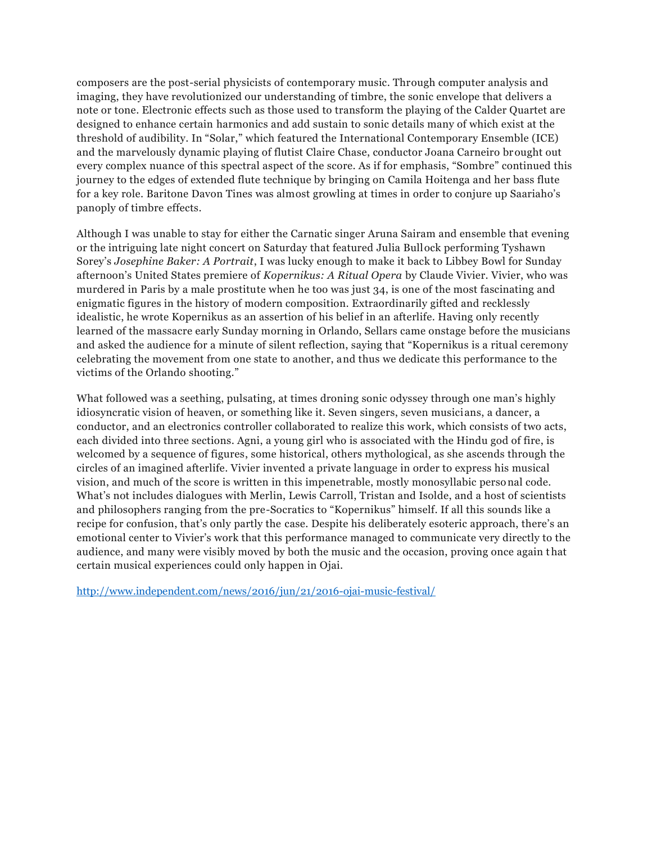composers are the post-serial physicists of contemporary music. Through computer analysis and imaging, they have revolutionized our understanding of timbre, the sonic envelope that delivers a note or tone. Electronic effects such as those used to transform the playing of the Calder Quartet are designed to enhance certain harmonics and add sustain to sonic details many of which exist at the threshold of audibility. In "Solar," which featured the International Contemporary Ensemble (ICE) and the marvelously dynamic playing of flutist Claire Chase, conductor Joana Carneiro brought out every complex nuance of this spectral aspect of the score. As if for emphasis, "Sombre" continued this journey to the edges of extended flute technique by bringing on Camila Hoitenga and her bass flute for a key role. Baritone Davon Tines was almost growling at times in order to conjure up Saariaho's panoply of timbre effects.

Although I was unable to stay for either the Carnatic singer Aruna Sairam and ensemble that evening or the intriguing late night concert on Saturday that featured Julia Bullock performing Tyshawn Sorey's *Josephine Baker: A Portrait*, I was lucky enough to make it back to Libbey Bowl for Sunday afternoon's United States premiere of *Kopernikus: A Ritual Opera* by Claude Vivier. Vivier, who was murdered in Paris by a male prostitute when he too was just 34, is one of the most fascinating and enigmatic figures in the history of modern composition. Extraordinarily gifted and recklessly idealistic, he wrote Kopernikus as an assertion of his belief in an afterlife. Having only recently learned of the massacre early Sunday morning in Orlando, Sellars came onstage before the musicians and asked the audience for a minute of silent reflection, saying that "Kopernikus is a ritual ceremony celebrating the movement from one state to another, and thus we dedicate this performance to the victims of the Orlando shooting."

What followed was a seething, pulsating, at times droning sonic odyssey through one man's highly idiosyncratic vision of heaven, or something like it. Seven singers, seven musicians, a dancer, a conductor, and an electronics controller collaborated to realize this work, which consists of two acts, each divided into three sections. Agni, a young girl who is associated with the Hindu god of fire, is welcomed by a sequence of figures, some historical, others mythological, as she ascends through the circles of an imagined afterlife. Vivier invented a private language in order to express his musical vision, and much of the score is written in this impenetrable, mostly monosyllabic personal code. What's not includes dialogues with Merlin, Lewis Carroll, Tristan and Isolde, and a host of scientists and philosophers ranging from the pre-Socratics to "Kopernikus" himself. If all this sounds like a recipe for confusion, that's only partly the case. Despite his deliberately esoteric approach, there's an emotional center to Vivier's work that this performance managed to communicate very directly to the audience, and many were visibly moved by both the music and the occasion, proving once again that certain musical experiences could only happen in Ojai.

<http://www.independent.com/news/2016/jun/21/2016-ojai-music-festival/>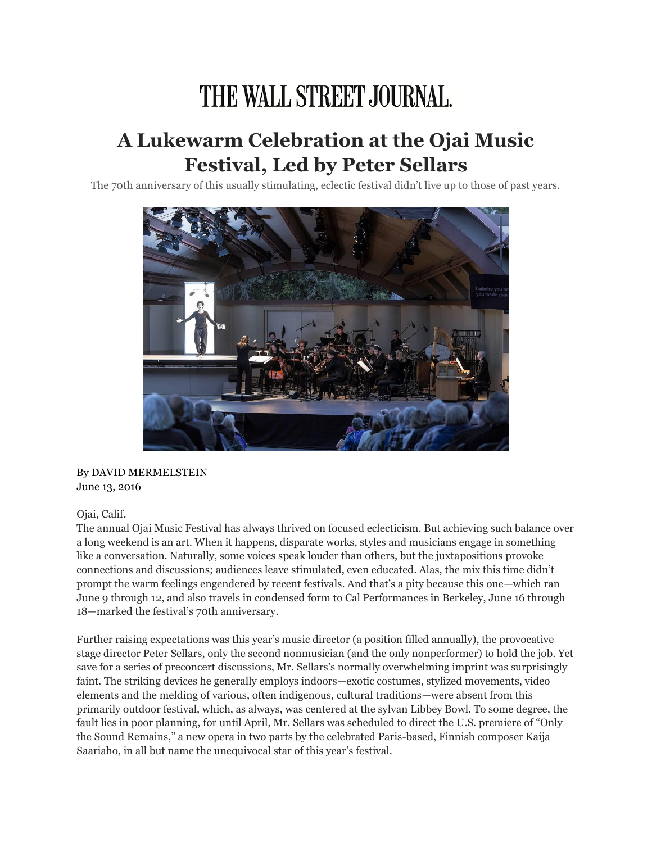## THE WALL STREET JOURNAL.

#### **A Lukewarm Celebration at the Ojai Music Festival, Led by Peter Sellars**

The 70th anniversary of this usually stimulating, eclectic festival didn't live up to those of past years.



#### By DAVID MERMELSTEIN June 13, 2016

#### Ojai, Calif.

The annual Ojai Music Festival has always thrived on focused eclecticism. But achieving such balance over a long weekend is an art. When it happens, disparate works, styles and musicians engage in something like a conversation. Naturally, some voices speak louder than others, but the juxtapositions provoke connections and discussions; audiences leave stimulated, even educated. Alas, the mix this time didn't prompt the warm feelings engendered by recent festivals. And that's a pity because this one—which ran June 9 through 12, and also travels in condensed form to Cal Performances in Berkeley, June 16 through 18—marked the festival's 70th anniversary.

Further raising expectations was this year's music director (a position filled annually), the provocative stage director Peter Sellars, only the second nonmusician (and the only nonperformer) to hold the job. Yet save for a series of preconcert discussions, Mr. Sellars's normally overwhelming imprint was surprisingly faint. The striking devices he generally employs indoors—exotic costumes, stylized movements, video elements and the melding of various, often indigenous, cultural traditions—were absent from this primarily outdoor festival, which, as always, was centered at the sylvan Libbey Bowl. To some degree, the fault lies in poor planning, for until April, Mr. Sellars was scheduled to direct the U.S. premiere of "Only the Sound Remains," a new opera in two parts by the celebrated Paris-based, Finnish composer Kaija Saariaho, in all but name the unequivocal star of this year's festival.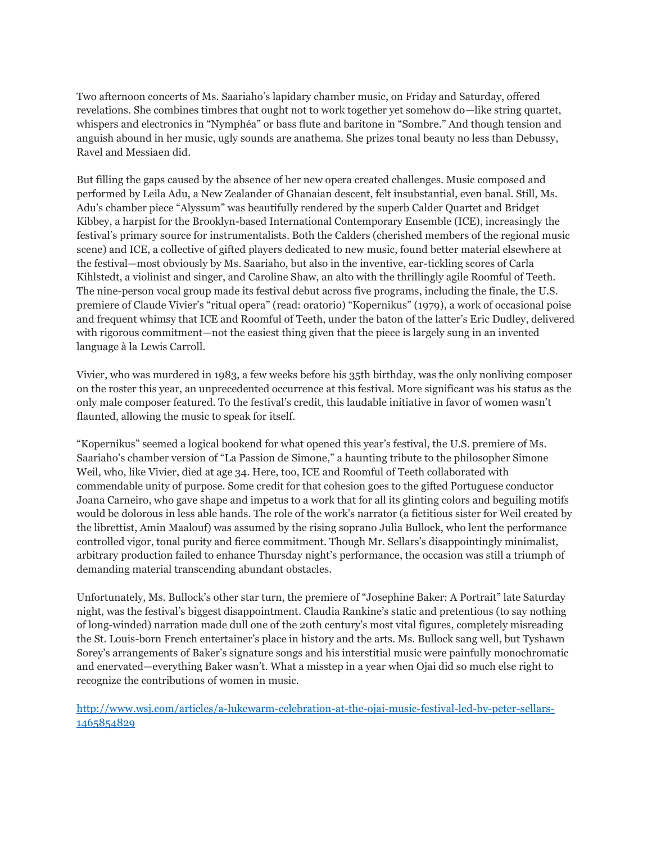Two afternoon concerts of Ms. Saariaho's lapidary chamber music, on Friday and Saturday, offered revelations. She combines timbres that ought not to work together yet somehow do—like string quartet, whispers and electronics in "Nymphéa" or bass flute and baritone in "Sombre." And though tension and anguish abound in her music, ugly sounds are anathema. She prizes tonal beauty no less than Debussy, Ravel and Messiaen did.

But filling the gaps caused by the absence of her new opera created challenges. Music composed and performed by Leila Adu, a New Zealander of Ghanaian descent, felt insubstantial, even banal. Still, Ms. Adu's chamber piece "Alyssum" was beautifully rendered by the superb Calder Quartet and Bridget Kibbey, a harpist for the Brooklyn-based International Contemporary Ensemble (ICE), increasingly the festival's primary source for instrumentalists. Both the Calders (cherished members of the regional music scene) and ICE, a collective of gifted players dedicated to new music, found better material elsewhere at the festival—most obviously by Ms. Saariaho, but also in the inventive, ear-tickling scores of Carla Kihlstedt, a violinist and singer, and Caroline Shaw, an alto with the thrillingly agile Roomful of Teeth. The nine-person vocal group made its festival debut across five programs, including the finale, the U.S. premiere of Claude Vivier's "ritual opera" (read: oratorio) "Kopernikus" (1979), a work of occasional poise and frequent whimsy that ICE and Roomful of Teeth, under the baton of the latter's Eric Dudley, delivered with rigorous commitment—not the easiest thing given that the piece is largely sung in an invented language à la Lewis Carroll.

Vivier, who was murdered in 1983, a few weeks before his 35th birthday, was the only nonliving composer on the roster this year, an unprecedented occurrence at this festival. More significant was his status as the only male composer featured. To the festival's credit, this laudable initiative in favor of women wasn't flaunted, allowing the music to speak for itself.

"Kopernikus" seemed a logical bookend for what opened this year's festival, the U.S. premiere of Ms. Saariaho's chamber version of "La Passion de Simone," a haunting tribute to the philosopher Simone Weil, who, like Vivier, died at age 34. Here, too, ICE and Roomful of Teeth collaborated with commendable unity of purpose. Some credit for that cohesion goes to the gifted Portuguese conductor Joana Carneiro, who gave shape and impetus to a work that for all its glinting colors and beguiling motifs would be dolorous in less able hands. The role of the work's narrator (a fictitious sister for Weil created by the librettist, Amin Maalouf) was assumed by the rising soprano Julia Bullock, who lent the performance controlled vigor, tonal purity and fierce commitment. Though Mr. Sellars's disappointingly minimalist, arbitrary production failed to enhance Thursday night's performance, the occasion was still a triumph of demanding material transcending abundant obstacles.

Unfortunately, Ms. Bullock's other star turn, the premiere of "Josephine Baker: A Portrait" late Saturday night, was the festival's biggest disappointment. Claudia Rankine's static and pretentious (to say nothing of long-winded) narration made dull one of the 20th century's most vital figures, completely misreading the St. Louis-born French entertainer's place in history and the arts. Ms. Bullock sang well, but Tyshawn Sorey's arrangements of Baker's signature songs and his interstitial music were painfully monochromatic and enervated—everything Baker wasn't. What a misstep in a year when Ojai did so much else right to recognize the contributions of women in music.

[http://www.wsj.com/articles/a-lukewarm-celebration-at-the-ojai-music-festival-led-by-peter-sellars-](http://www.wsj.com/articles/a-lukewarm-celebration-at-the-ojai-music-festival-led-by-peter-sellars-1465854829)[1465854829](http://www.wsj.com/articles/a-lukewarm-celebration-at-the-ojai-music-festival-led-by-peter-sellars-1465854829)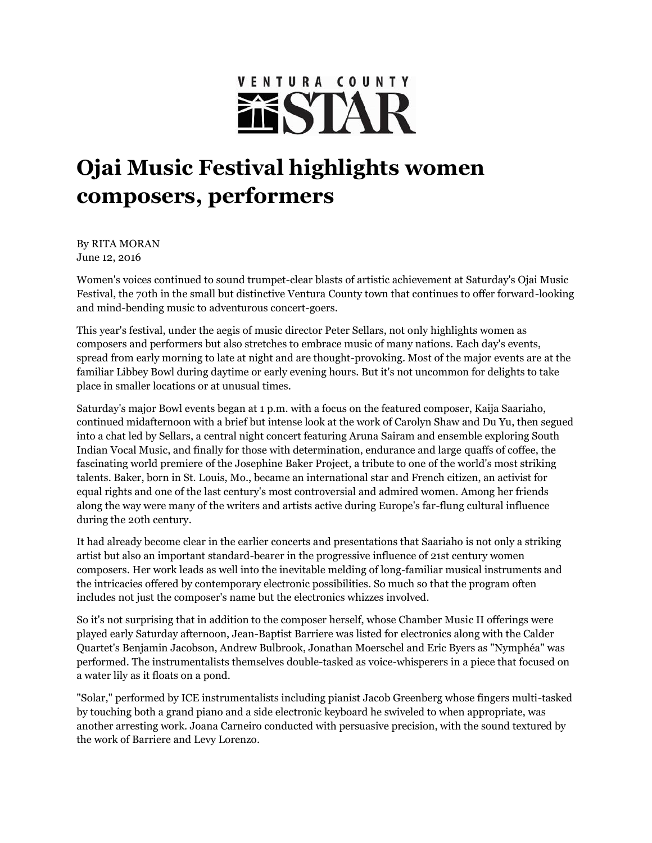# VENTURA COUNTY **XSTAR**

#### **Ojai Music Festival highlights women composers, performers**

By RITA MORAN June 12, 2016

Women's voices continued to sound trumpet-clear blasts of artistic achievement at Saturday's Ojai Music Festival, the 70th in the small but distinctive Ventura County town that continues to offer forward-looking and mind-bending music to adventurous concert-goers.

This year's festival, under the aegis of music director Peter Sellars, not only highlights women as composers and performers but also stretches to embrace music of many nations. Each day's events, spread from early morning to late at night and are thought-provoking. Most of the major events are at the familiar Libbey Bowl during daytime or early evening hours. But it's not uncommon for delights to take place in smaller locations or at unusual times.

Saturday's major Bowl events began at 1 p.m. with a focus on the featured composer, Kaija Saariaho, continued midafternoon with a brief but intense look at the work of Carolyn Shaw and Du Yu, then segued into a chat led by Sellars, a central night concert featuring Aruna Sairam and ensemble exploring South Indian Vocal Music, and finally for those with determination, endurance and large quaffs of coffee, the fascinating world premiere of the Josephine Baker Project, a tribute to one of the world's most striking talents. Baker, born in St. Louis, Mo., became an international star and French citizen, an activist for equal rights and one of the last century's most controversial and admired women. Among her friends along the way were many of the writers and artists active during Europe's far-flung cultural influence during the 20th century.

It had already become clear in the earlier concerts and presentations that Saariaho is not only a striking artist but also an important standard-bearer in the progressive influence of 21st century women composers. Her work leads as well into the inevitable melding of long-familiar musical instruments and the intricacies offered by contemporary electronic possibilities. So much so that the program often includes not just the composer's name but the electronics whizzes involved.

So it's not surprising that in addition to the composer herself, whose Chamber Music II offerings were played early Saturday afternoon, Jean-Baptist Barriere was listed for electronics along with the Calder Quartet's Benjamin Jacobson, Andrew Bulbrook, Jonathan Moerschel and Eric Byers as "Nymphéa" was performed. The instrumentalists themselves double-tasked as voice-whisperers in a piece that focused on a water lily as it floats on a pond.

"Solar," performed by ICE instrumentalists including pianist Jacob Greenberg whose fingers multi-tasked by touching both a grand piano and a side electronic keyboard he swiveled to when appropriate, was another arresting work. Joana Carneiro conducted with persuasive precision, with the sound textured by the work of Barriere and Levy Lorenzo.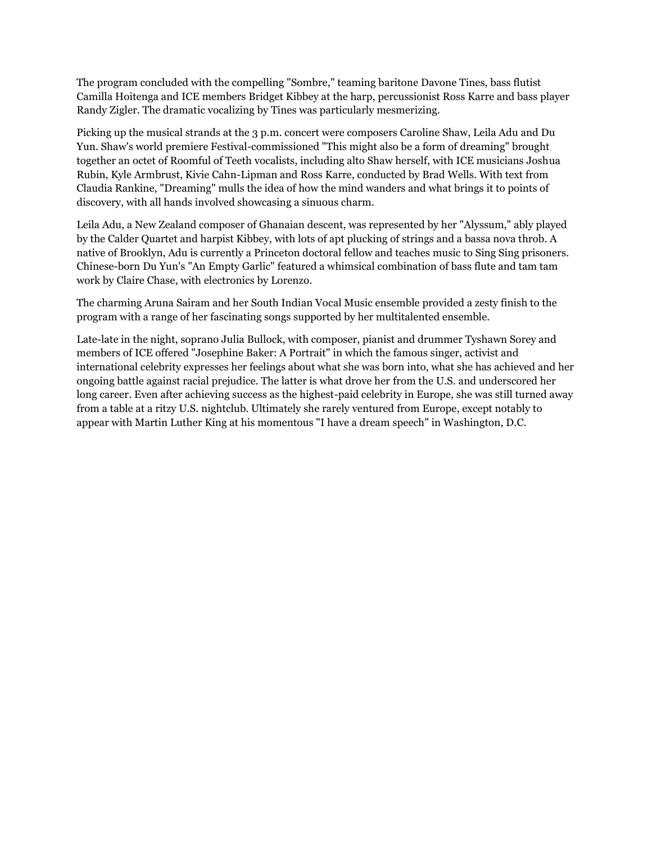The program concluded with the compelling "Sombre," teaming baritone Davone Tines, bass flutist Camilla Hoitenga and ICE members Bridget Kibbey at the harp, percussionist Ross Karre and bass player Randy Zigler. The dramatic vocalizing by Tines was particularly mesmerizing.

Picking up the musical strands at the 3 p.m. concert were composers Caroline Shaw, Leila Adu and Du Yun. Shaw's world premiere Festival-commissioned "This might also be a form of dreaming" brought together an octet of Roomful of Teeth vocalists, including alto Shaw herself, with ICE musicians Joshua Rubin, Kyle Armbrust, Kivie Cahn-Lipman and Ross Karre, conducted by Brad Wells. With text from Claudia Rankine, "Dreaming" mulls the idea of how the mind wanders and what brings it to points of discovery, with all hands involved showcasing a sinuous charm.

Leila Adu, a New Zealand composer of Ghanaian descent, was represented by her "Alyssum," ably played by the Calder Quartet and harpist Kibbey, with lots of apt plucking of strings and a bassa nova throb. A native of Brooklyn, Adu is currently a Princeton doctoral fellow and teaches music to Sing Sing prisoners. Chinese-born Du Yun's "An Empty Garlic" featured a whimsical combination of bass flute and tam tam work by Claire Chase, with electronics by Lorenzo.

The charming Aruna Sairam and her South Indian Vocal Music ensemble provided a zesty finish to the program with a range of her fascinating songs supported by her multitalented ensemble.

Late-late in the night, soprano Julia Bullock, with composer, pianist and drummer Tyshawn Sorey and members of ICE offered "Josephine Baker: A Portrait" in which the famous singer, activist and international celebrity expresses her feelings about what she was born into, what she has achieved and her ongoing battle against racial prejudice. The latter is what drove her from the U.S. and underscored her long career. Even after achieving success as the highest-paid celebrity in Europe, she was still turned away from a table at a ritzy U.S. nightclub. Ultimately she rarely ventured from Europe, except notably to appear with Martin Luther King at his momentous "I have a dream speech" in Washington, D.C.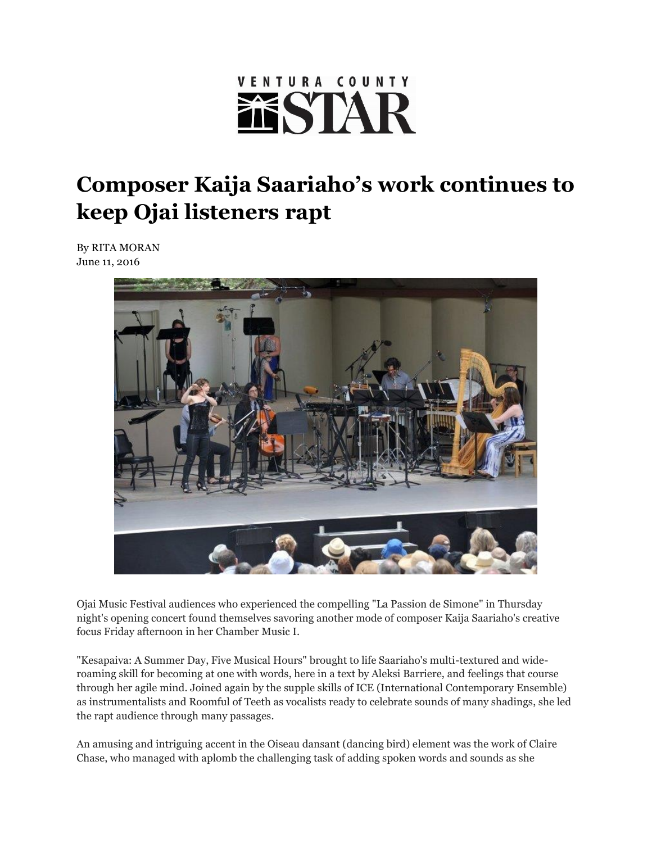## VENTURA COUNTY **XSTAR**

### **Composer Kaija Saariaho's work continues to keep Ojai listeners rapt**

By RITA MORAN June 11, 2016



Ojai Music Festival audiences who experienced the compelling "La Passion de Simone" in Thursday night's opening concert found themselves savoring another mode of composer Kaija Saariaho's creative focus Friday afternoon in her Chamber Music I.

"Kesapaiva: A Summer Day, Five Musical Hours" brought to life Saariaho's multi-textured and wideroaming skill for becoming at one with words, here in a text by Aleksi Barriere, and feelings that course through her agile mind. Joined again by the supple skills of ICE (International Contemporary Ensemble) as instrumentalists and Roomful of Teeth as vocalists ready to celebrate sounds of many shadings, she led the rapt audience through many passages.

An amusing and intriguing accent in the Oiseau dansant (dancing bird) element was the work of Claire Chase, who managed with aplomb the challenging task of adding spoken words and sounds as she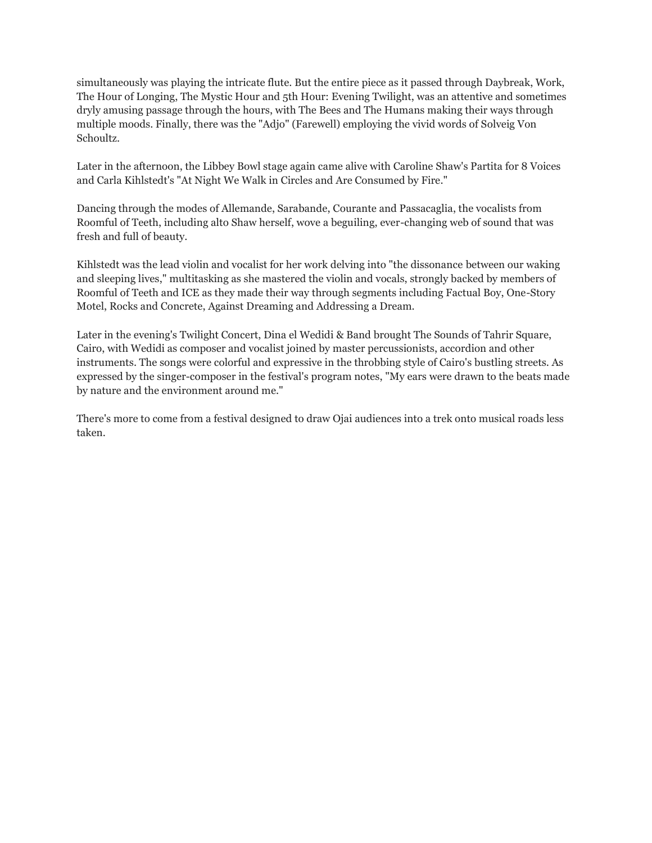simultaneously was playing the intricate flute. But the entire piece as it passed through Daybreak, Work, The Hour of Longing, The Mystic Hour and 5th Hour: Evening Twilight, was an attentive and sometimes dryly amusing passage through the hours, with The Bees and The Humans making their ways through multiple moods. Finally, there was the "Adjo" (Farewell) employing the vivid words of Solveig Von Schoultz.

Later in the afternoon, the Libbey Bowl stage again came alive with Caroline Shaw's Partita for 8 Voices and Carla Kihlstedt's "At Night We Walk in Circles and Are Consumed by Fire."

Dancing through the modes of Allemande, Sarabande, Courante and Passacaglia, the vocalists from Roomful of Teeth, including alto Shaw herself, wove a beguiling, ever-changing web of sound that was fresh and full of beauty.

Kihlstedt was the lead violin and vocalist for her work delving into "the dissonance between our waking and sleeping lives," multitasking as she mastered the violin and vocals, strongly backed by members of Roomful of Teeth and ICE as they made their way through segments including Factual Boy, One-Story Motel, Rocks and Concrete, Against Dreaming and Addressing a Dream.

Later in the evening's Twilight Concert, Dina el Wedidi & Band brought The Sounds of Tahrir Square, Cairo, with Wedidi as composer and vocalist joined by master percussionists, accordion and other instruments. The songs were colorful and expressive in the throbbing style of Cairo's bustling streets. As expressed by the singer-composer in the festival's program notes, "My ears were drawn to the beats made by nature and the environment around me."

There's more to come from a festival designed to draw Ojai audiences into a trek onto musical roads less taken.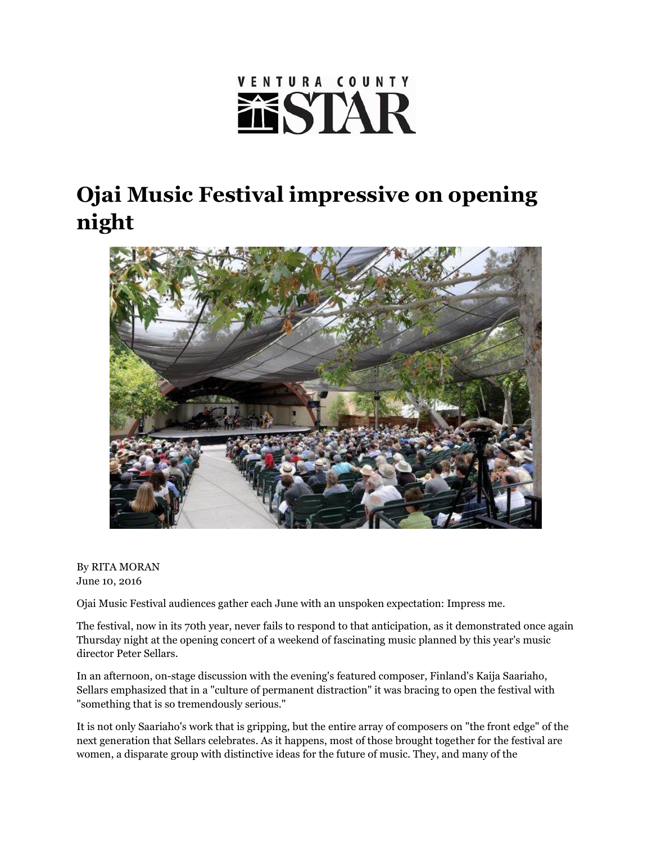# **VENTURA COUNTY XSTAR**

## **Ojai Music Festival impressive on opening night**



By RITA MORAN June 10, 2016

Ojai Music Festival audiences gather each June with an unspoken expectation: Impress me.

The festival, now in its 70th year, never fails to respond to that anticipation, as it demonstrated once again Thursday night at the opening concert of a weekend of fascinating music planned by this year's music director Peter Sellars.

In an afternoon, on-stage discussion with the evening's featured composer, Finland's Kaija Saariaho, Sellars emphasized that in a "culture of permanent distraction" it was bracing to open the festival with "something that is so tremendously serious."

It is not only Saariaho's work that is gripping, but the entire array of composers on "the front edge" of the next generation that Sellars celebrates. As it happens, most of those brought together for the festival are women, a disparate group with distinctive ideas for the future of music. They, and many of the